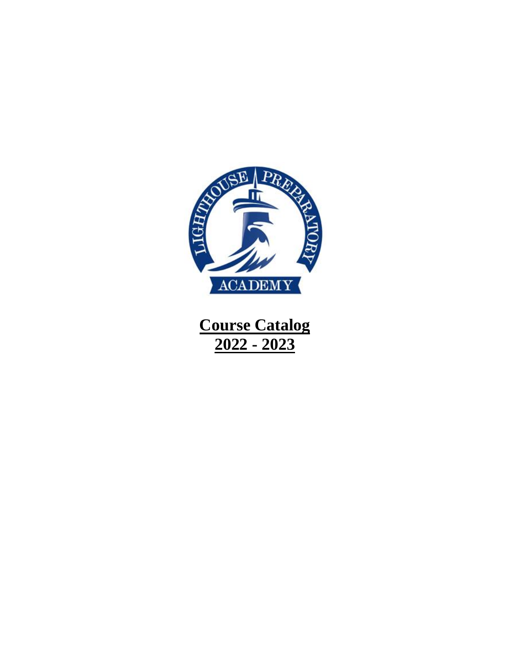

**Course Catalog 2022 - 2023**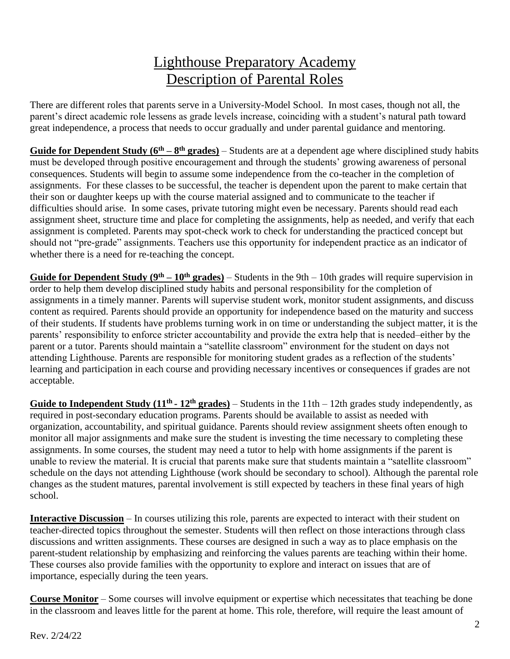# Lighthouse Preparatory Academy Description of Parental Roles

There are different roles that parents serve in a University-Model School. In most cases, though not all, the parent's direct academic role lessens as grade levels increase, coinciding with a student's natural path toward great independence, a process that needs to occur gradually and under parental guidance and mentoring.

Guide for Dependent Study (6<sup>th</sup> – 8<sup>th</sup> grades) – Students are at a dependent age where disciplined study habits must be developed through positive encouragement and through the students' growing awareness of personal consequences. Students will begin to assume some independence from the co-teacher in the completion of assignments. For these classes to be successful, the teacher is dependent upon the parent to make certain that their son or daughter keeps up with the course material assigned and to communicate to the teacher if difficulties should arise. In some cases, private tutoring might even be necessary. Parents should read each assignment sheet, structure time and place for completing the assignments, help as needed, and verify that each assignment is completed. Parents may spot-check work to check for understanding the practiced concept but should not "pre-grade" assignments. Teachers use this opportunity for independent practice as an indicator of whether there is a need for re-teaching the concept.

**Guide for Dependent Study (** $9<sup>th</sup> - 10<sup>th</sup>$  **grades) – Students in the 9th – 10th grades will require supervision in** order to help them develop disciplined study habits and personal responsibility for the completion of assignments in a timely manner. Parents will supervise student work, monitor student assignments, and discuss content as required. Parents should provide an opportunity for independence based on the maturity and success of their students. If students have problems turning work in on time or understanding the subject matter, it is the parents' responsibility to enforce stricter accountability and provide the extra help that is needed–either by the parent or a tutor. Parents should maintain a "satellite classroom" environment for the student on days not attending Lighthouse. Parents are responsible for monitoring student grades as a reflection of the students' learning and participation in each course and providing necessary incentives or consequences if grades are not acceptable.

**Guide to Independent Study**  $(11^{th} - 12^{th} \text{ grades})$  **– Students in the**  $11th - 12th \text{ grades}$  **study independently, as** required in post-secondary education programs. Parents should be available to assist as needed with organization, accountability, and spiritual guidance. Parents should review assignment sheets often enough to monitor all major assignments and make sure the student is investing the time necessary to completing these assignments. In some courses, the student may need a tutor to help with home assignments if the parent is unable to review the material. It is crucial that parents make sure that students maintain a "satellite classroom" schedule on the days not attending Lighthouse (work should be secondary to school). Although the parental role changes as the student matures, parental involvement is still expected by teachers in these final years of high school.

**Interactive Discussion** – In courses utilizing this role, parents are expected to interact with their student on teacher-directed topics throughout the semester. Students will then reflect on those interactions through class discussions and written assignments. These courses are designed in such a way as to place emphasis on the parent-student relationship by emphasizing and reinforcing the values parents are teaching within their home. These courses also provide families with the opportunity to explore and interact on issues that are of importance, especially during the teen years.

**Course Monitor** – Some courses will involve equipment or expertise which necessitates that teaching be done in the classroom and leaves little for the parent at home. This role, therefore, will require the least amount of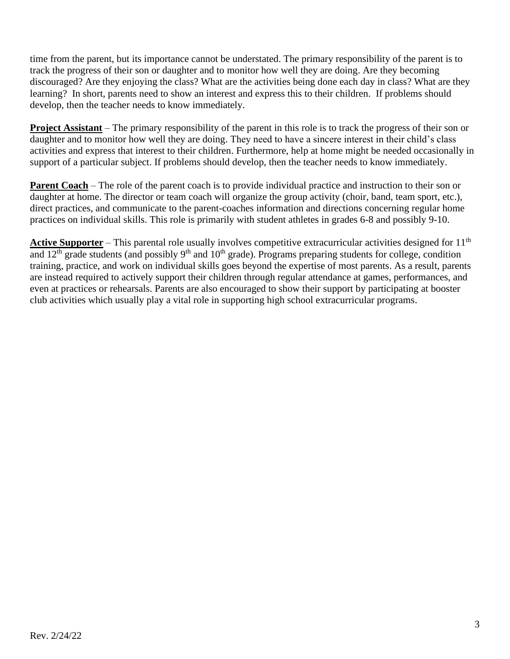time from the parent, but its importance cannot be understated. The primary responsibility of the parent is to track the progress of their son or daughter and to monitor how well they are doing. Are they becoming discouraged? Are they enjoying the class? What are the activities being done each day in class? What are they learning? In short, parents need to show an interest and express this to their children. If problems should develop, then the teacher needs to know immediately.

**Project Assistant** – The primary responsibility of the parent in this role is to track the progress of their son or daughter and to monitor how well they are doing. They need to have a sincere interest in their child's class activities and express that interest to their children. Furthermore, help at home might be needed occasionally in support of a particular subject. If problems should develop, then the teacher needs to know immediately.

**Parent Coach** – The role of the parent coach is to provide individual practice and instruction to their son or daughter at home. The director or team coach will organize the group activity (choir, band, team sport, etc.), direct practices, and communicate to the parent-coaches information and directions concerning regular home practices on individual skills. This role is primarily with student athletes in grades 6-8 and possibly 9-10.

**Active Supporter** – This parental role usually involves competitive extracurricular activities designed for 11<sup>th</sup> and 12<sup>th</sup> grade students (and possibly 9<sup>th</sup> and 10<sup>th</sup> grade). Programs preparing students for college, condition training, practice, and work on individual skills goes beyond the expertise of most parents. As a result, parents are instead required to actively support their children through regular attendance at games, performances, and even at practices or rehearsals. Parents are also encouraged to show their support by participating at booster club activities which usually play a vital role in supporting high school extracurricular programs.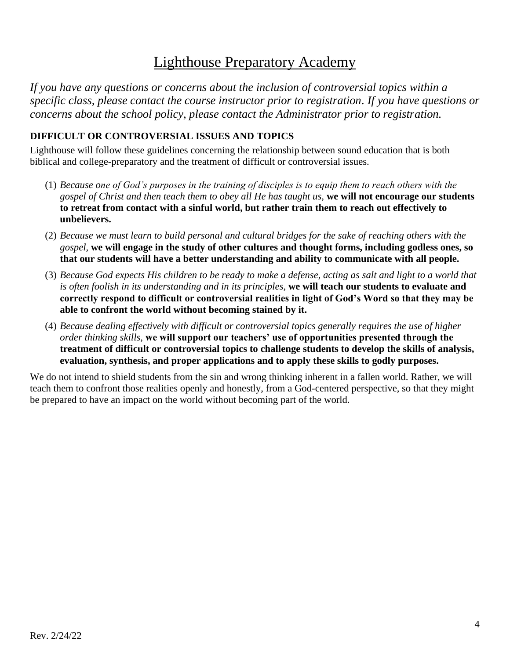# Lighthouse Preparatory Academy

*If you have any questions or concerns about the inclusion of controversial topics within a specific class, please contact the course instructor prior to registration. If you have questions or concerns about the school policy, please contact the Administrator prior to registration.*

#### **DIFFICULT OR CONTROVERSIAL ISSUES AND TOPICS**

Lighthouse will follow these guidelines concerning the relationship between sound education that is both biblical and college-preparatory and the treatment of difficult or controversial issues.

- (1) *Because one of God's purposes in the training of disciples is to equip them to reach others with the gospel of Christ and then teach them to obey all He has taught us,* **we will not encourage our students to retreat from contact with a sinful world, but rather train them to reach out effectively to unbelievers.**
- (2) *Because we must learn to build personal and cultural bridges for the sake of reaching others with the gospel,* **we will engage in the study of other cultures and thought forms, including godless ones, so that our students will have a better understanding and ability to communicate with all people.**
- (3) *Because God expects His children to be ready to make a defense, acting as salt and light to a world that is often foolish in its understanding and in its principles,* **we will teach our students to evaluate and correctly respond to difficult or controversial realities in light of God's Word so that they may be able to confront the world without becoming stained by it.**
- (4) *Because dealing effectively with difficult or controversial topics generally requires the use of higher order thinking skills,* **we will support our teachers' use of opportunities presented through the treatment of difficult or controversial topics to challenge students to develop the skills of analysis, evaluation, synthesis, and proper applications and to apply these skills to godly purposes.**

We do not intend to shield students from the sin and wrong thinking inherent in a fallen world. Rather, we will teach them to confront those realities openly and honestly, from a God-centered perspective, so that they might be prepared to have an impact on the world without becoming part of the world.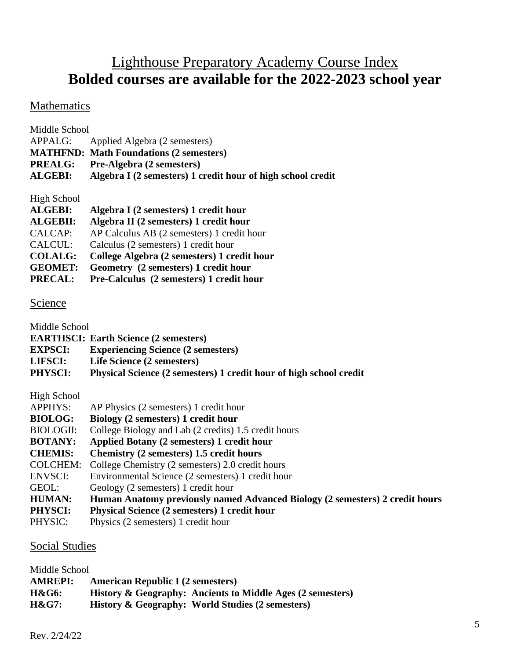# Lighthouse Preparatory Academy Course Index **Bolded courses are available for the 2022-2023 school year**

### Mathematics

| Middle School  |                                                             |
|----------------|-------------------------------------------------------------|
| APPALG:        | Applied Algebra (2 semesters)                               |
|                | <b>MATHFND: Math Foundations (2 semesters)</b>              |
|                | <b>PREALG:</b> Pre-Algebra (2 semesters)                    |
| <b>ALGEBI:</b> | Algebra I (2 semesters) 1 credit hour of high school credit |
|                |                                                             |

High School

| <b>ALGEBI:</b>  | Algebra I (2 semesters) 1 credit hour       |
|-----------------|---------------------------------------------|
| <b>ALGEBII:</b> | Algebra II (2 semesters) 1 credit hour      |
| CALCAP:         | AP Calculus AB (2 semesters) 1 credit hour  |
| CALCUL:         | Calculus (2 semesters) 1 credit hour        |
| <b>COLALG:</b>  | College Algebra (2 semesters) 1 credit hour |
| <b>GEOMET:</b>  | Geometry (2 semesters) 1 credit hour        |
| <b>PRECAL:</b>  | Pre-Calculus (2 semesters) 1 credit hour    |

#### Science

Middle School

**EARTHSCI: Earth Science (2 semesters)**

**EXPSCI: Experiencing Science (2 semesters)** 

**LIFSCI: Life Science (2 semesters)** 

**PHYSCI: Physical Science (2 semesters) 1 credit hour of high school credit**

High School

| <b>APPHYS:</b> | AP Physics (2 semesters) 1 credit hour |  |  |
|----------------|----------------------------------------|--|--|
|                |                                        |  |  |

- **BIOLOG: Biology (2 semesters) 1 credit hour**
- BIOLOGII: College Biology and Lab (2 credits) 1.5 credit hours
- **BOTANY: Applied Botany (2 semesters) 1 credit hour**
- **CHEMIS: Chemistry (2 semesters) 1.5 credit hours**
- COLCHEM: College Chemistry (2 semesters) 2.0 credit hours
- ENVSCI: Environmental Science (2 semesters) 1 credit hour
- GEOL: Geology (2 semesters) 1 credit hour
- **HUMAN: Human Anatomy previously named Advanced Biology (2 semesters) 2 credit hours**
- **PHYSCI: Physical Science (2 semesters) 1 credit hour**
- PHYSIC: Physics (2 semesters) 1 credit hour

#### Social Studies

| Middle School    |                                                                       |
|------------------|-----------------------------------------------------------------------|
| <b>AMREPI:</b>   | <b>American Republic I (2 semesters)</b>                              |
| H&G6:            | <b>History &amp; Geography: Ancients to Middle Ages (2 semesters)</b> |
| <b>H&amp;G7:</b> | <b>History &amp; Geography: World Studies (2 semesters)</b>           |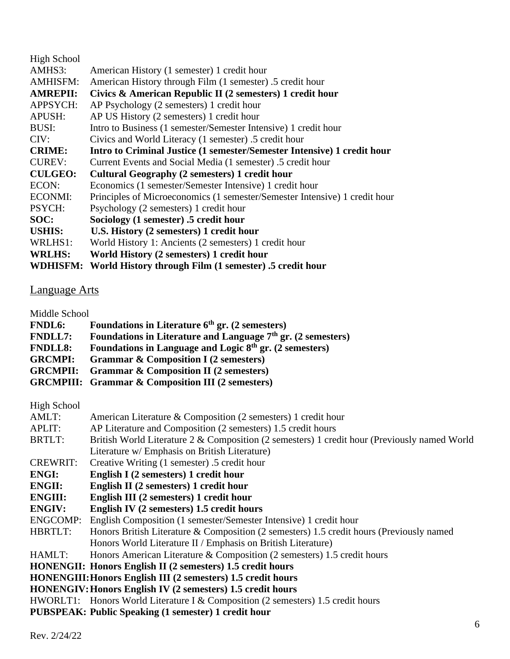| WDHISFM:        | World History through Film (1 semester) .5 credit hour                     |
|-----------------|----------------------------------------------------------------------------|
| <b>WRLHS:</b>   | World History (2 semesters) 1 credit hour                                  |
| WRLHS1:         | World History 1: Ancients (2 semesters) 1 credit hour                      |
| <b>USHIS:</b>   | U.S. History (2 semesters) 1 credit hour                                   |
| SOC:            | Sociology (1 semester) .5 credit hour                                      |
| <b>PSYCH:</b>   | Psychology (2 semesters) 1 credit hour                                     |
| <b>ECONMI:</b>  | Principles of Microeconomics (1 semester/Semester Intensive) 1 credit hour |
| ECON:           | Economics (1 semester/Semester Intensive) 1 credit hour                    |
| <b>CULGEO:</b>  | Cultural Geography (2 semesters) 1 credit hour                             |
| <b>CUREV:</b>   | Current Events and Social Media (1 semester) .5 credit hour                |
| <b>CRIME:</b>   | Intro to Criminal Justice (1 semester/Semester Intensive) 1 credit hour    |
| CIV:            | Civics and World Literacy (1 semester) .5 credit hour                      |
| <b>BUSI:</b>    | Intro to Business (1 semester/Semester Intensive) 1 credit hour            |
| APUSH:          | AP US History (2 semesters) 1 credit hour                                  |
| <b>APPSYCH:</b> | AP Psychology (2 semesters) 1 credit hour                                  |
| <b>AMREPII:</b> | Civics & American Republic II (2 semesters) 1 credit hour                  |
| <b>AMHISFM:</b> | American History through Film (1 semester) .5 credit hour                  |
| AMHS3:          | American History (1 semester) 1 credit hour                                |
| High School     |                                                                            |

### Language Arts

Middle School

- **FNDL6: Foundations in Literature 6th gr. (2 semesters)**
- **FNDLL7: Foundations in Literature and Language 7th gr. (2 semesters)**
- **FNDLL8: Foundations in Language and Logic 8th gr. (2 semesters)**
- **GRCMPI: Grammar & Composition I (2 semesters)**
- **GRCMPII: Grammar & Composition II (2 semesters)**
- **GRCMPIII: Grammar & Composition III (2 semesters)**

High School

| AMLT:           | American Literature & Composition (2 semesters) 1 credit hour                                |
|-----------------|----------------------------------------------------------------------------------------------|
| <b>APLIT:</b>   | AP Literature and Composition (2 semesters) 1.5 credit hours                                 |
| BRTLT:          | British World Literature 2 & Composition (2 semesters) 1 credit hour (Previously named World |
|                 | Literature w/ Emphasis on British Literature)                                                |
| <b>CREWRIT:</b> | Creative Writing (1 semester) .5 credit hour                                                 |
| <b>ENGI:</b>    | English I (2 semesters) 1 credit hour                                                        |
| <b>ENGII:</b>   | English II (2 semesters) 1 credit hour                                                       |
| <b>ENGIII:</b>  | English III (2 semesters) 1 credit hour                                                      |
| <b>ENGIV:</b>   | English IV (2 semesters) 1.5 credit hours                                                    |
| <b>ENGCOMP:</b> | English Composition (1 semester/Semester Intensive) 1 credit hour                            |
| HBRTLT:         | Honors British Literature & Composition (2 semesters) 1.5 credit hours (Previously named     |
|                 | Honors World Literature II / Emphasis on British Literature)                                 |
| HAMLT:          | Honors American Literature & Composition (2 semesters) 1.5 credit hours                      |
|                 | <b>HONENGII: Honors English II (2 semesters) 1.5 credit hours</b>                            |
|                 | <b>HONENGIII: Honors English III (2 semesters) 1.5 credit hours</b>                          |
|                 | <b>HONENGIV: Honors English IV (2 semesters) 1.5 credit hours</b>                            |
|                 | HWORLT1: Honors World Literature I & Composition (2 semesters) 1.5 credit hours              |
|                 | <b>PUBSPEAK: Public Speaking (1 semester) 1 credit hour</b>                                  |
|                 |                                                                                              |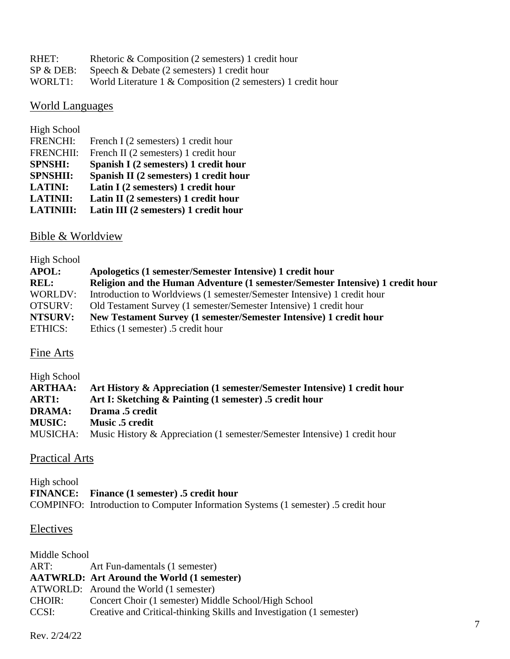| RHET:   | Rhetoric & Composition (2 semesters) 1 credit hour              |
|---------|-----------------------------------------------------------------|
|         | $SP & DEB:$ Speech & Debate (2 semesters) 1 credit hour         |
| WORLT1: | World Literature $1 \&$ Composition (2 semesters) 1 credit hour |

#### World Languages

| High School      |                                        |
|------------------|----------------------------------------|
| <b>FRENCHI:</b>  | French I (2 semesters) 1 credit hour   |
| <b>FRENCHII:</b> | French II (2 semesters) 1 credit hour  |
| <b>SPNSHI:</b>   | Spanish I (2 semesters) 1 credit hour  |
|                  |                                        |
| <b>SPNSHII:</b>  | Spanish II (2 semesters) 1 credit hour |
| <b>LATINI:</b>   | Latin I (2 semesters) 1 credit hour    |
| <b>LATINII:</b>  | Latin II (2 semesters) 1 credit hour   |
| <b>LATINIII:</b> | Latin III (2 semesters) 1 credit hour  |

#### Bible & Worldview

#### High School **APOL: Apologetics (1 semester/Semester Intensive) 1 credit hour REL: Religion and the Human Adventure (1 semester/Semester Intensive) 1 credit hour** WORLDV: Introduction to Worldviews (1 semester/Semester Intensive) 1 credit hour OTSURV: Old Testament Survey (1 semester/Semester Intensive) 1 credit hour **NTSURV: New Testament Survey (1 semester/Semester Intensive) 1 credit hour** ETHICS: Ethics (1 semester) .5 credit hour

#### Fine Arts

| High School     |                                                                            |
|-----------------|----------------------------------------------------------------------------|
| <b>ARTHAA:</b>  | Art History & Appreciation (1 semester/Semester Intensive) 1 credit hour   |
| ART1:           | Art I: Sketching & Painting (1 semester) .5 credit hour                    |
| <b>DRAMA:</b>   | Drama .5 credit                                                            |
| <b>MUSIC:</b>   | <b>Music .5 credit</b>                                                     |
| <b>MUSICHA:</b> | Music History & Appreciation (1 semester/Semester Intensive) 1 credit hour |

#### Practical Arts

High school **FINANCE: Finance (1 semester) .5 credit hour** COMPINFO: Introduction to Computer Information Systems (1 semester) .5 credit hour

#### **Electives**

| Middle School |                                                                      |
|---------------|----------------------------------------------------------------------|
| ART:          | Art Fun-damentals (1 semester)                                       |
|               | <b>AATWRLD: Art Around the World (1 semester)</b>                    |
|               | ATWORLD: Around the World (1 semester)                               |
| <b>CHOIR:</b> | Concert Choir (1 semester) Middle School/High School                 |
| CCSI:         | Creative and Critical-thinking Skills and Investigation (1 semester) |
|               |                                                                      |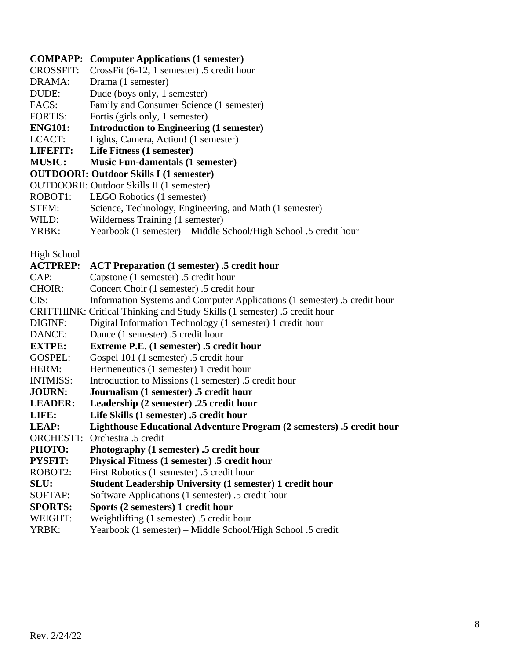#### **COMPAPP: Computer Applications (1 semester)**

- CROSSFIT: CrossFit (6-12, 1 semester) .5 credit hour
- DRAMA: Drama (1 semester)
- DUDE: Dude (boys only, 1 semester)
- FACS: Family and Consumer Science (1 semester)
- FORTIS: Fortis (girls only, 1 semester)
- **ENG101: Introduction to Engineering (1 semester)**
- LCACT: Lights, Camera, Action! (1 semester)
- **LIFEFIT: Life Fitness (1 semester)**

#### **MUSIC: Music Fun-damentals (1 semester)**

- **OUTDOORI: Outdoor Skills I (1 semester)**
- OUTDOORII: Outdoor Skills II (1 semester)
- ROBOT1: LEGO Robotics (1 semester)
- STEM: Science, Technology, Engineering, and Math (1 semester)
- WILD: Wilderness Training (1 semester)
- YRBK: Yearbook (1 semester) Middle School/High School .5 credit hour

High School

#### **ACTPREP: ACT Preparation (1 semester) .5 credit hour**

- CAP: Capstone (1 semester) .5 credit hour
- CHOIR: Concert Choir (1 semester) .5 credit hour
- CIS: Information Systems and Computer Applications (1 semester) .5 credit hour
- CRITTHINK: Critical Thinking and Study Skills (1 semester) .5 credit hour
- DIGINF: Digital Information Technology (1 semester) 1 credit hour
- DANCE: Dance (1 semester) .5 credit hour
- **EXTPE: Extreme P.E. (1 semester) .5 credit hour**
- GOSPEL: Gospel 101 (1 semester) .5 credit hour
- HERM: Hermeneutics (1 semester) 1 credit hour
- INTMISS: Introduction to Missions (1 semester) .5 credit hour
- **JOURN: Journalism (1 semester) .5 credit hour**
- **LEADER: Leadership (2 semester) .25 credit hour**
- **LIFE: Life Skills (1 semester) .5 credit hour**
- **LEAP: Lighthouse Educational Adventure Program (2 semesters) .5 credit hour**

ORCHEST1: Orchestra .5 credit

- P**HOTO: Photography (1 semester) .5 credit hour**
- **PYSFIT: Physical Fitness (1 semester) .5 credit hour**
- ROBOT2: First Robotics (1 semester) .5 credit hour
- **SLU: Student Leadership University (1 semester) 1 credit hour**
- SOFTAP: Software Applications (1 semester) .5 credit hour
- **SPORTS: Sports (2 semesters) 1 credit hour**
- WEIGHT: Weightlifting (1 semester) .5 credit hour
- YRBK: Yearbook (1 semester) Middle School/High School .5 credit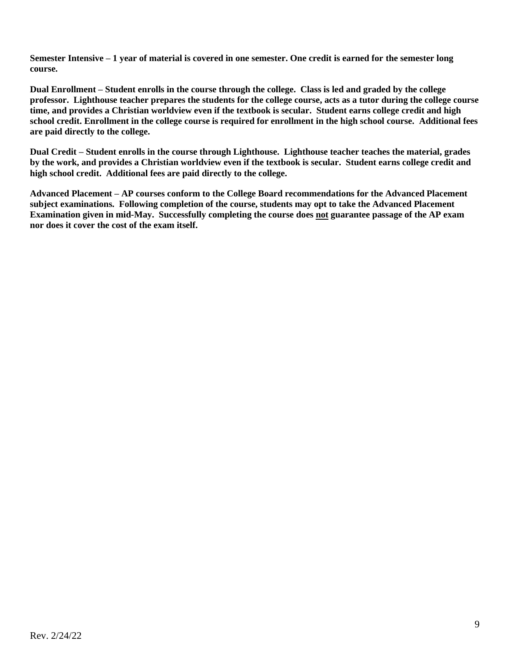**Semester Intensive – 1 year of material is covered in one semester. One credit is earned for the semester long course.**

**Dual Enrollment – Student enrolls in the course through the college. Class is led and graded by the college professor. Lighthouse teacher prepares the students for the college course, acts as a tutor during the college course time, and provides a Christian worldview even if the textbook is secular. Student earns college credit and high school credit. Enrollment in the college course is required for enrollment in the high school course. Additional fees are paid directly to the college.**

**Dual Credit – Student enrolls in the course through Lighthouse. Lighthouse teacher teaches the material, grades by the work, and provides a Christian worldview even if the textbook is secular. Student earns college credit and high school credit. Additional fees are paid directly to the college.**

**Advanced Placement – AP courses conform to the College Board recommendations for the Advanced Placement subject examinations. Following completion of the course, students may opt to take the Advanced Placement Examination given in mid-May. Successfully completing the course does not guarantee passage of the AP exam nor does it cover the cost of the exam itself.**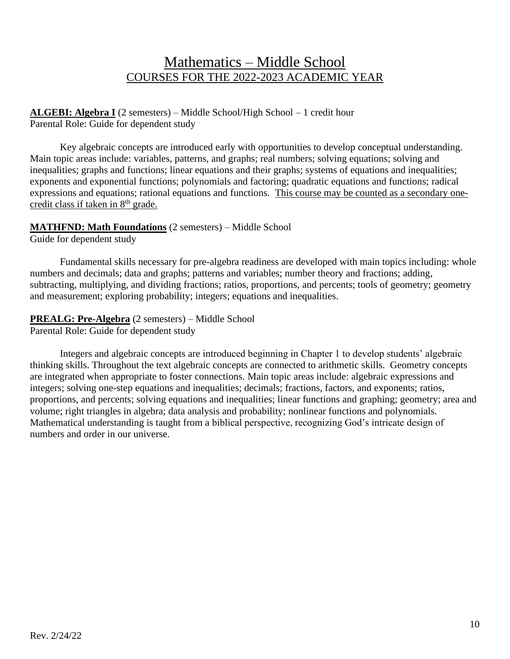## Mathematics – Middle School COURSES FOR THE 2022-2023 ACADEMIC YEAR

#### **ALGEBI: Algebra I** (2 semesters) – Middle School/High School – 1 credit hour Parental Role: Guide for dependent study

Key algebraic concepts are introduced early with opportunities to develop conceptual understanding. Main topic areas include: variables, patterns, and graphs; real numbers; solving equations; solving and inequalities; graphs and functions; linear equations and their graphs; systems of equations and inequalities; exponents and exponential functions; polynomials and factoring; quadratic equations and functions; radical expressions and equations; rational equations and functions. This course may be counted as a secondary onecredit class if taken in 8<sup>th</sup> grade.

#### **MATHFND: Math Foundations** (2 semesters) – Middle School

Guide for dependent study

Fundamental skills necessary for pre-algebra readiness are developed with main topics including: whole numbers and decimals; data and graphs; patterns and variables; number theory and fractions; adding, subtracting, multiplying, and dividing fractions; ratios, proportions, and percents; tools of geometry; geometry and measurement; exploring probability; integers; equations and inequalities.

**PREALG: Pre-Algebra** (2 semesters) – Middle School Parental Role: Guide for dependent study

Integers and algebraic concepts are introduced beginning in Chapter 1 to develop students' algebraic thinking skills. Throughout the text algebraic concepts are connected to arithmetic skills. Geometry concepts are integrated when appropriate to foster connections. Main topic areas include: algebraic expressions and integers; solving one-step equations and inequalities; decimals; fractions, factors, and exponents; ratios, proportions, and percents; solving equations and inequalities; linear functions and graphing; geometry; area and volume; right triangles in algebra; data analysis and probability; nonlinear functions and polynomials. Mathematical understanding is taught from a biblical perspective, recognizing God's intricate design of numbers and order in our universe.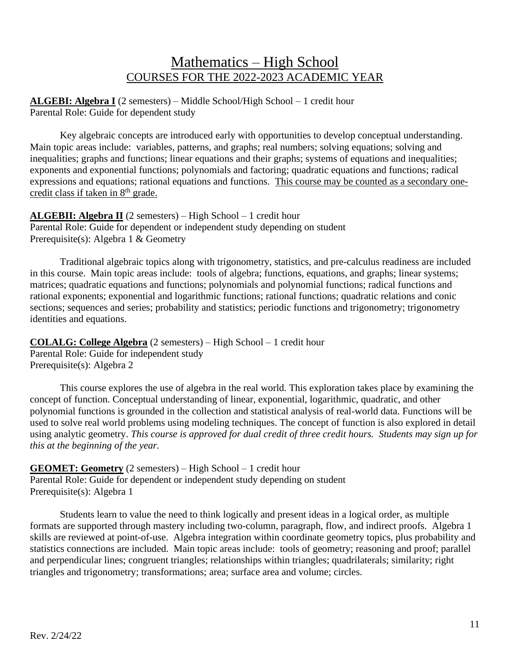## Mathematics – High School COURSES FOR THE 2022-2023 ACADEMIC YEAR

**ALGEBI: Algebra I** (2 semesters) – Middle School/High School – 1 credit hour Parental Role: Guide for dependent study

Key algebraic concepts are introduced early with opportunities to develop conceptual understanding. Main topic areas include: variables, patterns, and graphs; real numbers; solving equations; solving and inequalities; graphs and functions; linear equations and their graphs; systems of equations and inequalities; exponents and exponential functions; polynomials and factoring; quadratic equations and functions; radical expressions and equations; rational equations and functions. This course may be counted as a secondary onecredit class if taken in 8<sup>th</sup> grade.

**ALGEBII: Algebra II** (2 semesters) – High School – 1 credit hour Parental Role: Guide for dependent or independent study depending on student Prerequisite(s): Algebra 1 & Geometry

Traditional algebraic topics along with trigonometry, statistics, and pre-calculus readiness are included in this course. Main topic areas include: tools of algebra; functions, equations, and graphs; linear systems; matrices; quadratic equations and functions; polynomials and polynomial functions; radical functions and rational exponents; exponential and logarithmic functions; rational functions; quadratic relations and conic sections; sequences and series; probability and statistics; periodic functions and trigonometry; trigonometry identities and equations.

**COLALG: College Algebra** (2 semesters) – High School – 1 credit hour Parental Role: Guide for independent study Prerequisite(s): Algebra 2

This course explores the use of algebra in the real world. This exploration takes place by examining the concept of function. Conceptual understanding of linear, exponential, logarithmic, quadratic, and other polynomial functions is grounded in the collection and statistical analysis of real-world data. Functions will be used to solve real world problems using modeling techniques. The concept of function is also explored in detail using analytic geometry. *This course is approved for dual credit of three credit hours. Students may sign up for this at the beginning of the year.*

**GEOMET: Geometry** (2 semesters) – High School – 1 credit hour Parental Role: Guide for dependent or independent study depending on student Prerequisite(s): Algebra 1

Students learn to value the need to think logically and present ideas in a logical order, as multiple formats are supported through mastery including two-column, paragraph, flow, and indirect proofs. Algebra 1 skills are reviewed at point-of-use. Algebra integration within coordinate geometry topics, plus probability and statistics connections are included. Main topic areas include: tools of geometry; reasoning and proof; parallel and perpendicular lines; congruent triangles; relationships within triangles; quadrilaterals; similarity; right triangles and trigonometry; transformations; area; surface area and volume; circles.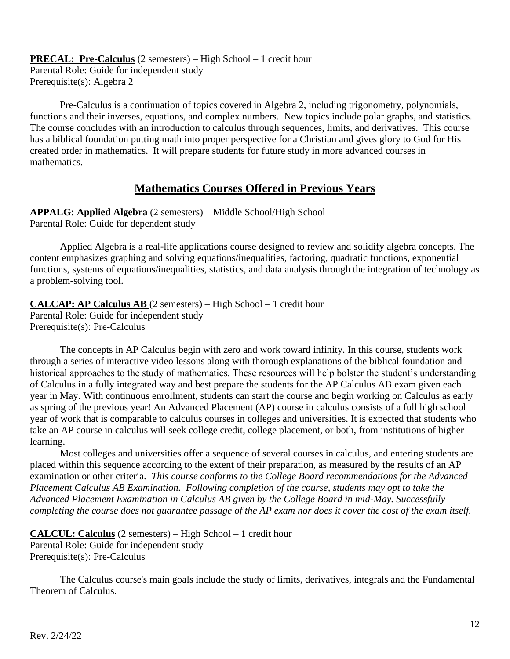**PRECAL: Pre-Calculus** (2 semesters) – High School – 1 credit hour Parental Role: Guide for independent study Prerequisite(s): Algebra 2

Pre-Calculus is a continuation of topics covered in Algebra 2, including trigonometry, polynomials, functions and their inverses, equations, and complex numbers. New topics include polar graphs, and statistics. The course concludes with an introduction to calculus through sequences, limits, and derivatives. This course has a biblical foundation putting math into proper perspective for a Christian and gives glory to God for His created order in mathematics. It will prepare students for future study in more advanced courses in mathematics.

### **Mathematics Courses Offered in Previous Years**

**APPALG: Applied Algebra** (2 semesters) – Middle School/High School Parental Role: Guide for dependent study

Applied Algebra is a real-life applications course designed to review and solidify algebra concepts. The content emphasizes graphing and solving equations/inequalities, factoring, quadratic functions, exponential functions, systems of equations/inequalities, statistics, and data analysis through the integration of technology as a problem-solving tool.

**CALCAP: AP Calculus AB** (2 semesters) – High School – 1 credit hour Parental Role: Guide for independent study Prerequisite(s): Pre-Calculus

The concepts in AP Calculus begin with zero and work toward infinity. In this course, students work through a series of interactive video lessons along with thorough explanations of the biblical foundation and historical approaches to the study of mathematics. These resources will help bolster the student's understanding of Calculus in a fully integrated way and best prepare the students for the AP Calculus AB exam given each year in May. With continuous enrollment, students can start the course and begin working on Calculus as early as spring of the previous year! An Advanced Placement (AP) course in calculus consists of a full high school year of work that is comparable to calculus courses in colleges and universities. It is expected that students who take an AP course in calculus will seek college credit, college placement, or both, from institutions of higher learning.

Most colleges and universities offer a sequence of several courses in calculus, and entering students are placed within this sequence according to the extent of their preparation, as measured by the results of an AP examination or other criteria. *This course conforms to the College Board recommendations for the Advanced Placement Calculus AB Examination. Following completion of the course, students may opt to take the Advanced Placement Examination in Calculus AB given by the College Board in mid-May. Successfully completing the course does not guarantee passage of the AP exam nor does it cover the cost of the exam itself.*

```
CALCUL: Calculus (2 semesters) – High School – 1 credit hour
Parental Role: Guide for independent study
Prerequisite(s): Pre-Calculus
```
The Calculus course's main goals include the study of limits, derivatives, integrals and the Fundamental Theorem of Calculus.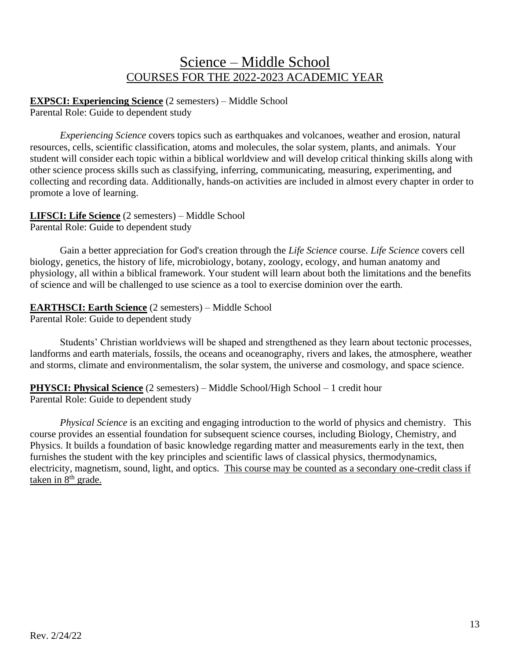## Science – Middle School COURSES FOR THE 2022-2023 ACADEMIC YEAR

**EXPSCI: Experiencing Science** (2 semesters) – Middle School Parental Role: Guide to dependent study

*Experiencing Science* covers topics such as earthquakes and volcanoes, weather and erosion, natural resources, cells, scientific classification, atoms and molecules, the solar system, plants, and animals. Your student will consider each topic within a biblical worldview and will develop critical thinking skills along with other science process skills such as classifying, inferring, communicating, measuring, experimenting, and collecting and recording data. Additionally, hands-on activities are included in almost every chapter in order to promote a love of learning.

**LIFSCI: Life Science** (2 semesters) – Middle School Parental Role: Guide to dependent study

Gain a better appreciation for God's creation through the *Life Science* course. *Life Science* covers cell biology, genetics, the history of life, microbiology, botany, zoology, ecology, and human anatomy and physiology, all within a biblical framework. Your student will learn about both the limitations and the benefits of science and will be challenged to use science as a tool to exercise dominion over the earth.

### **EARTHSCI: Earth Science** (2 semesters) – Middle School

Parental Role: Guide to dependent study

Students' Christian worldviews will be shaped and strengthened as they learn about tectonic processes, landforms and earth materials, fossils, the oceans and oceanography, rivers and lakes, the atmosphere, weather and storms, climate and environmentalism, the solar system, the universe and cosmology, and space science.

**PHYSCI: Physical Science** (2 semesters) – Middle School/High School – 1 credit hour Parental Role: Guide to dependent study

*Physical Science* is an exciting and engaging introduction to the world of physics and chemistry. This course provides an essential foundation for subsequent science courses, including Biology, Chemistry, and Physics. It builds a foundation of basic knowledge regarding matter and measurements early in the text, then furnishes the student with the key principles and scientific laws of classical physics, thermodynamics, electricity, magnetism, sound, light, and optics. This course may be counted as a secondary one-credit class if taken in 8<sup>th</sup> grade.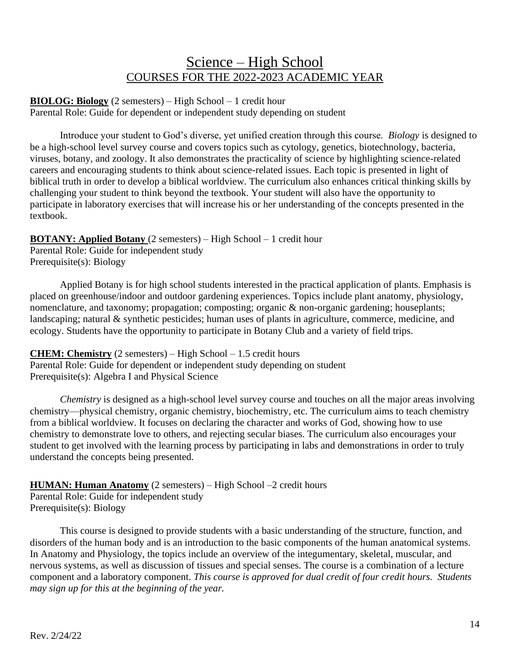## Science – High School COURSES FOR THE 2022-2023 ACADEMIC YEAR

**BIOLOG: Biology** (2 semesters) – High School – 1 credit hour Parental Role: Guide for dependent or independent study depending on student

Introduce your student to God's diverse, yet unified creation through this course. *Biology* is designed to be a high-school level survey course and covers topics such as cytology, genetics, biotechnology, bacteria, viruses, botany, and zoology. It also demonstrates the practicality of science by highlighting science-related careers and encouraging students to think about science-related issues. Each topic is presented in light of biblical truth in order to develop a biblical worldview. The curriculum also enhances critical thinking skills by challenging your student to think beyond the textbook. Your student will also have the opportunity to participate in laboratory exercises that will increase his or her understanding of the concepts presented in the textbook.

### **BOTANY: Applied Botany** (2 semesters) – High School – 1 credit hour

Parental Role: Guide for independent study Prerequisite(s): Biology

Applied Botany is for high school students interested in the practical application of plants. Emphasis is placed on greenhouse/indoor and outdoor gardening experiences. Topics include plant anatomy, physiology, nomenclature, and taxonomy; propagation; composting; organic & non-organic gardening; houseplants; landscaping; natural & synthetic pesticides; human uses of plants in agriculture, commerce, medicine, and ecology. Students have the opportunity to participate in Botany Club and a variety of field trips.

**CHEM: Chemistry** (2 semesters) – High School – 1.5 credit hours Parental Role: Guide for dependent or independent study depending on student Prerequisite(s): Algebra I and Physical Science

*Chemistry* is designed as a high-school level survey course and touches on all the major areas involving chemistry—physical chemistry, organic chemistry, biochemistry, etc. The curriculum aims to teach chemistry from a biblical worldview. It focuses on declaring the character and works of God, showing how to use chemistry to demonstrate love to others, and rejecting secular biases. The curriculum also encourages your student to get involved with the learning process by participating in labs and demonstrations in order to truly understand the concepts being presented.

#### **HUMAN: Human Anatomy** (2 semesters) – High School –2 credit hours Parental Role: Guide for independent study Prerequisite(s): Biology

This course is designed to provide students with a basic understanding of the structure, function, and disorders of the human body and is an introduction to the basic components of the human anatomical systems. In Anatomy and Physiology, the topics include an overview of the integumentary, skeletal, muscular, and nervous systems, as well as discussion of tissues and special senses. The course is a combination of a lecture component and a laboratory component. *This course is approved for dual credit of four credit hours. Students may sign up for this at the beginning of the year.*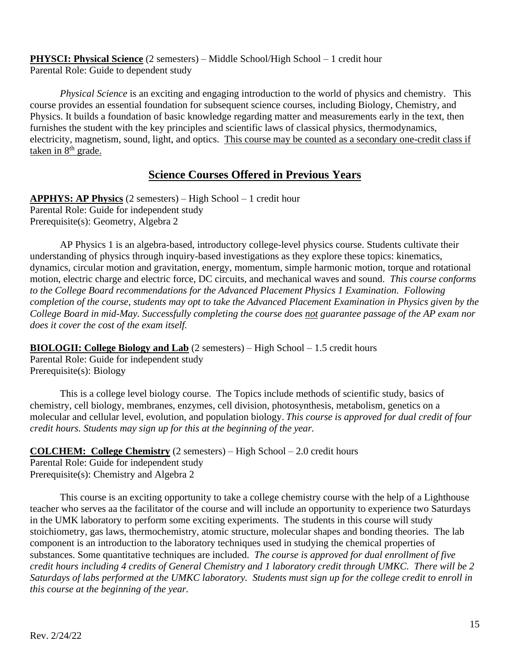**PHYSCI: Physical Science** (2 semesters) – Middle School/High School – 1 credit hour Parental Role: Guide to dependent study

*Physical Science* is an exciting and engaging introduction to the world of physics and chemistry. This course provides an essential foundation for subsequent science courses, including Biology, Chemistry, and Physics. It builds a foundation of basic knowledge regarding matter and measurements early in the text, then furnishes the student with the key principles and scientific laws of classical physics, thermodynamics, electricity, magnetism, sound, light, and optics. This course may be counted as a secondary one-credit class if taken in 8<sup>th</sup> grade.

### **Science Courses Offered in Previous Years**

**APPHYS: AP Physics** (2 semesters) – High School – 1 credit hour Parental Role: Guide for independent study Prerequisite(s): Geometry, Algebra 2

AP Physics 1 is an algebra-based, introductory college-level physics course. Students cultivate their understanding of physics through inquiry-based investigations as they explore these topics: kinematics, dynamics, circular motion and gravitation, energy, momentum, simple harmonic motion, torque and rotational motion, electric charge and electric force, DC circuits, and mechanical waves and sound. *This course conforms to the College Board recommendations for the Advanced Placement Physics 1 Examination. Following completion of the course, students may opt to take the Advanced Placement Examination in Physics given by the College Board in mid-May. Successfully completing the course does not guarantee passage of the AP exam nor does it cover the cost of the exam itself.*

**BIOLOGII: College Biology and Lab** (2 semesters) – High School – 1.5 credit hours Parental Role: Guide for independent study Prerequisite(s): Biology

This is a college level biology course. The Topics include methods of scientific study, basics of chemistry, cell biology, membranes, enzymes, cell division, photosynthesis, metabolism, genetics on a molecular and cellular level, evolution, and population biology. *This course is approved for dual credit of four credit hours. Students may sign up for this at the beginning of the year.*

**COLCHEM: College Chemistry** (2 semesters) – High School – 2.0 credit hours Parental Role: Guide for independent study Prerequisite(s): Chemistry and Algebra 2

This course is an exciting opportunity to take a college chemistry course with the help of a Lighthouse teacher who serves aa the facilitator of the course and will include an opportunity to experience two Saturdays in the UMK laboratory to perform some exciting experiments. The students in this course will study stoichiometry, gas laws, thermochemistry, atomic structure, molecular shapes and bonding theories. The lab component is an introduction to the laboratory techniques used in studying the chemical properties of substances. Some quantitative techniques are included. *The course is approved for dual enrollment of five credit hours including 4 credits of General Chemistry and 1 laboratory credit through UMKC. There will be 2 Saturdays of labs performed at the UMKC laboratory. Students must sign up for the college credit to enroll in this course at the beginning of the year.*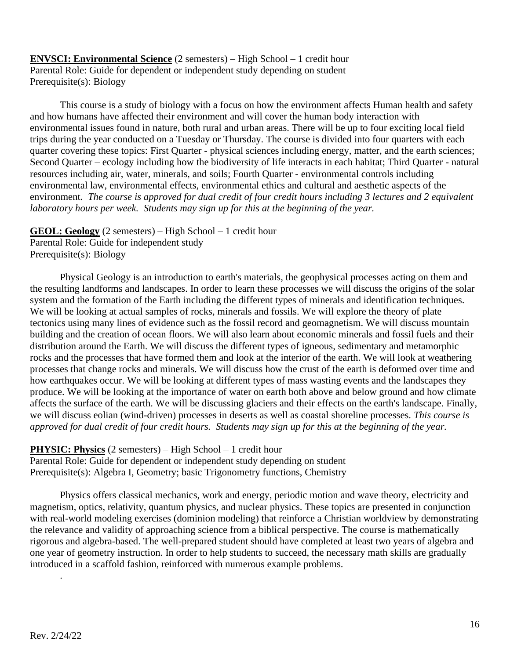**ENVSCI: Environmental Science** (2 semesters) – High School – 1 credit hour Parental Role: Guide for dependent or independent study depending on student Prerequisite(s): Biology

This course is a study of biology with a focus on how the environment affects Human health and safety and how humans have affected their environment and will cover the human body interaction with environmental issues found in nature, both rural and urban areas. There will be up to four exciting local field trips during the year conducted on a Tuesday or Thursday. The course is divided into four quarters with each quarter covering these topics: First Quarter - physical sciences including energy, matter, and the earth sciences; Second Quarter – ecology including how the biodiversity of life interacts in each habitat; Third Quarter - natural resources including air, water, minerals, and soils; Fourth Quarter - environmental controls including environmental law, environmental effects, environmental ethics and cultural and aesthetic aspects of the environment. *The course is approved for dual credit of four credit hours including 3 lectures and 2 equivalent laboratory hours per week. Students may sign up for this at the beginning of the year.*

**GEOL: Geology** (2 semesters) – High School – 1 credit hour Parental Role: Guide for independent study Prerequisite(s): Biology

Physical Geology is an introduction to earth's materials, the geophysical processes acting on them and the resulting landforms and landscapes. In order to learn these processes we will discuss the origins of the solar system and the formation of the Earth including the different types of minerals and identification techniques. We will be looking at actual samples of rocks, minerals and fossils. We will explore the theory of plate tectonics using many lines of evidence such as the fossil record and geomagnetism. We will discuss mountain building and the creation of ocean floors. We will also learn about economic minerals and fossil fuels and their distribution around the Earth. We will discuss the different types of igneous, sedimentary and metamorphic rocks and the processes that have formed them and look at the interior of the earth. We will look at weathering processes that change rocks and minerals. We will discuss how the crust of the earth is deformed over time and how earthquakes occur. We will be looking at different types of mass wasting events and the landscapes they produce. We will be looking at the importance of water on earth both above and below ground and how climate affects the surface of the earth. We will be discussing glaciers and their effects on the earth's landscape. Finally, we will discuss eolian (wind-driven) processes in deserts as well as coastal shoreline processes. *This course is approved for dual credit of four credit hours. Students may sign up for this at the beginning of the year.*

**PHYSIC: Physics** (2 semesters) – High School – 1 credit hour

Parental Role: Guide for dependent or independent study depending on student Prerequisite(s): Algebra I, Geometry; basic Trigonometry functions, Chemistry

Physics offers classical mechanics, work and energy, periodic motion and wave theory, electricity and magnetism, optics, relativity, quantum physics, and nuclear physics. These topics are presented in conjunction with real-world modeling exercises (dominion modeling) that reinforce a Christian worldview by demonstrating the relevance and validity of approaching science from a biblical perspective. The course is mathematically rigorous and algebra-based. The well-prepared student should have completed at least two years of algebra and one year of geometry instruction. In order to help students to succeed, the necessary math skills are gradually introduced in a scaffold fashion, reinforced with numerous example problems.

.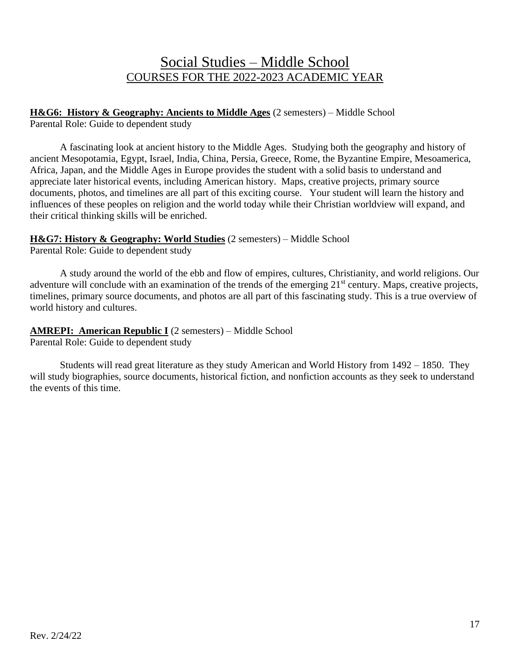## Social Studies – Middle School COURSES FOR THE 2022-2023 ACADEMIC YEAR

**H&G6: History & Geography: Ancients to Middle Ages** (2 semesters) – Middle School Parental Role: Guide to dependent study

A fascinating look at ancient history to the Middle Ages. Studying both the geography and history of ancient Mesopotamia, Egypt, Israel, India, China, Persia, Greece, Rome, the Byzantine Empire, Mesoamerica, Africa, Japan, and the Middle Ages in Europe provides the student with a solid basis to understand and appreciate later historical events, including American history. Maps, creative projects, primary source documents, photos, and timelines are all part of this exciting course. Your student will learn the history and influences of these peoples on religion and the world today while their Christian worldview will expand, and their critical thinking skills will be enriched.

#### **H&G7: History & Geography: World Studies** (2 semesters) – Middle School

Parental Role: Guide to dependent study

A study around the world of the ebb and flow of empires, cultures, Christianity, and world religions. Our adventure will conclude with an examination of the trends of the emerging 21<sup>st</sup> century. Maps, creative projects, timelines, primary source documents, and photos are all part of this fascinating study. This is a true overview of world history and cultures.

## **AMREPI: American Republic I** (2 semesters) – Middle School

Parental Role: Guide to dependent study

Students will read great literature as they study American and World History from 1492 – 1850. They will study biographies, source documents, historical fiction, and nonfiction accounts as they seek to understand the events of this time.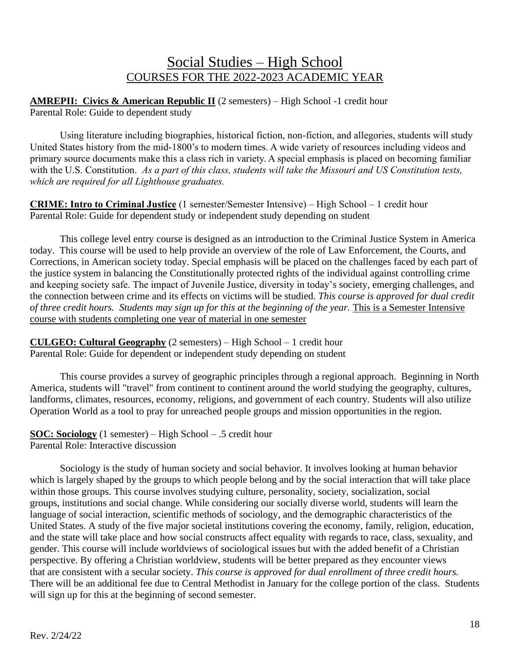## Social Studies – High School COURSES FOR THE 2022-2023 ACADEMIC YEAR

**AMREPII: Civics & American Republic II** (2 semesters) – High School -1 credit hour Parental Role: Guide to dependent study

Using literature including biographies, historical fiction, non-fiction, and allegories, students will study United States history from the mid-1800's to modern times. A wide variety of resources including videos and primary source documents make this a class rich in variety. A special emphasis is placed on becoming familiar with the U.S. Constitution. *As a part of this class, students will take the Missouri and US Constitution tests, which are required for all Lighthouse graduates.* 

**CRIME: Intro to Criminal Justice** (1 semester/Semester Intensive) – High School – 1 credit hour Parental Role: Guide for dependent study or independent study depending on student

This college level entry course is designed as an introduction to the Criminal Justice System in America today. This course will be used to help provide an overview of the role of Law Enforcement, the Courts, and Corrections, in American society today. Special emphasis will be placed on the challenges faced by each part of the justice system in balancing the Constitutionally protected rights of the individual against controlling crime and keeping society safe. The impact of Juvenile Justice, diversity in today's society, emerging challenges, and the connection between crime and its effects on victims will be studied. *This course is approved for dual credit of three credit hours. Students may sign up for this at the beginning of the year.* This is a Semester Intensive course with students completing one year of material in one semester

**CULGEO: Cultural Geography** (2 semesters) – High School – 1 credit hour Parental Role: Guide for dependent or independent study depending on student

This course provides a survey of geographic principles through a regional approach. Beginning in North America, students will "travel" from continent to continent around the world studying the geography, cultures, landforms, climates, resources, economy, religions, and government of each country. Students will also utilize Operation World as a tool to pray for unreached people groups and mission opportunities in the region.

**SOC: Sociology** (1 semester) – High School – .5 credit hour Parental Role: Interactive discussion

Sociology is the study of human society and social behavior. It involves looking at human behavior which is largely shaped by the groups to which people belong and by the social interaction that will take place within those groups. This course involves studying culture, personality, society, socialization, social groups, institutions and social change. While considering our socially diverse world, students will learn the language of social interaction, scientific methods of sociology, and the demographic characteristics of the United States. A study of the five major societal institutions covering the economy, family, religion, education, and the state will take place and how social constructs affect equality with regards to race, class, sexuality, and gender. This course will include worldviews of sociological issues but with the added benefit of a Christian perspective. By offering a Christian worldview, students will be better prepared as they encounter views that are consistent with a secular society. *This course is approved for dual enrollment of three credit hours.* There will be an additional fee due to Central Methodist in January for the college portion of the class. Students will sign up for this at the beginning of second semester.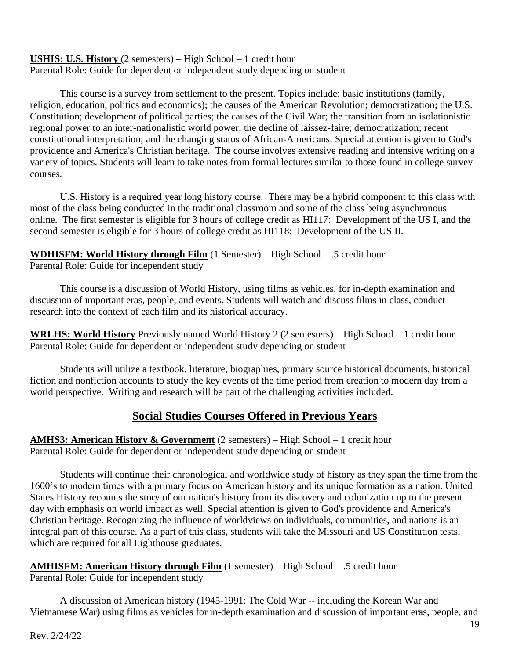#### **USHIS: U.S. History** (2 semesters) – High School – 1 credit hour Parental Role: Guide for dependent or independent study depending on student

This course is a survey from settlement to the present. Topics include: basic institutions (family, religion, education, politics and economics); the causes of the American Revolution; democratization; the U.S. Constitution; development of political parties; the causes of the Civil War; the transition from an isolationistic regional power to an inter-nationalistic world power; the decline of laissez-faire; democratization; recent constitutional interpretation; and the changing status of African-Americans. Special attention is given to God's providence and America's Christian heritage. The course involves extensive reading and intensive writing on a variety of topics. Students will learn to take notes from formal lectures similar to those found in college survey courses*.*

U.S. History is a required year long history course. There may be a hybrid component to this class with most of the class being conducted in the traditional classroom and some of the class being asynchronous online. The first semester is eligible for 3 hours of college credit as HI117: Development of the US I, and the second semester is eligible for 3 hours of college credit as HI118: Development of the US II.

#### **WDHISFM: World History through Film** (1 Semester) – High School – .5 credit hour Parental Role: Guide for independent study

This course is a discussion of World History, using films as vehicles, for in-depth examination and discussion of important eras, people, and events. Students will watch and discuss films in class, conduct research into the context of each film and its historical accuracy.

**WRLHS: World History** Previously named World History 2 (2 semesters) – High School – 1 credit hour Parental Role: Guide for dependent or independent study depending on student

Students will utilize a textbook, literature, biographies, primary source historical documents, historical fiction and nonfiction accounts to study the key events of the time period from creation to modern day from a world perspective. Writing and research will be part of the challenging activities included.

### **Social Studies Courses Offered in Previous Years**

**AMHS3: American History & Government** (2 semesters) – High School – 1 credit hour Parental Role: Guide for dependent or independent study depending on student

Students will continue their chronological and worldwide study of history as they span the time from the 1600's to modern times with a primary focus on American history and its unique formation as a nation. United States History recounts the story of our nation's history from its discovery and colonization up to the present day with emphasis on world impact as well. Special attention is given to God's providence and America's Christian heritage. Recognizing the influence of worldviews on individuals, communities, and nations is an integral part of this course. As a part of this class, students will take the Missouri and US Constitution tests, which are required for all Lighthouse graduates.

# **AMHISFM: American History through Film** (1 semester) – High School – .5 credit hour

Parental Role: Guide for independent study

A discussion of American history (1945-1991: The Cold War -- including the Korean War and Vietnamese War) using films as vehicles for in-depth examination and discussion of important eras, people, and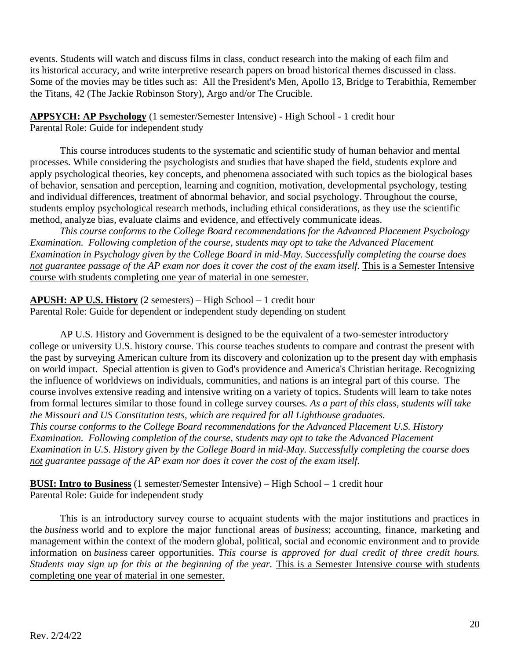events. Students will watch and discuss films in class, conduct research into the making of each film and its historical accuracy, and write interpretive research papers on broad historical themes discussed in class. Some of the movies may be titles such as: All the President's Men, Apollo 13, Bridge to Terabithia, Remember the Titans, 42 (The Jackie Robinson Story), Argo and/or The Crucible.

**APPSYCH: AP Psychology** (1 semester/Semester Intensive) - High School - 1 credit hour Parental Role: Guide for independent study

This course introduces students to the systematic and scientific study of human behavior and mental processes. While considering the psychologists and studies that have shaped the field, students explore and apply psychological theories, key concepts, and phenomena associated with such topics as the biological bases of behavior, sensation and perception, learning and cognition, motivation, developmental psychology, testing and individual differences, treatment of abnormal behavior, and social psychology. Throughout the course, students employ psychological research methods, including ethical considerations, as they use the scientific method, analyze bias, evaluate claims and evidence, and effectively communicate ideas.

*This course conforms to the College Board recommendations for the Advanced Placement Psychology Examination. Following completion of the course, students may opt to take the Advanced Placement Examination in Psychology given by the College Board in mid-May. Successfully completing the course does*  not guarantee passage of the AP exam nor does it cover the cost of the exam itself. This is a Semester Intensive course with students completing one year of material in one semester.

**APUSH: AP U.S. History** (2 semesters) – High School – 1 credit hour Parental Role: Guide for dependent or independent study depending on student

AP U.S. History and Government is designed to be the equivalent of a two-semester introductory college or university U.S. history course. This course teaches students to compare and contrast the present with the past by surveying American culture from its discovery and colonization up to the present day with emphasis on world impact. Special attention is given to God's providence and America's Christian heritage. Recognizing the influence of worldviews on individuals, communities, and nations is an integral part of this course. The course involves extensive reading and intensive writing on a variety of topics. Students will learn to take notes from formal lectures similar to those found in college survey courses*. As a part of this class, students will take the Missouri and US Constitution tests, which are required for all Lighthouse graduates. This course conforms to the College Board recommendations for the Advanced Placement U.S. History Examination. Following completion of the course, students may opt to take the Advanced Placement Examination in U.S. History given by the College Board in mid-May. Successfully completing the course does not guarantee passage of the AP exam nor does it cover the cost of the exam itself.*

**BUSI: Intro to Business** (1 semester/Semester Intensive) – High School – 1 credit hour Parental Role: Guide for independent study

This is an introductory survey course to acquaint students with the major institutions and practices in the *business* world and to explore the major functional areas of *business*; accounting, finance, marketing and management within the context of the modern global, political, social and economic environment and to provide information on *business* career opportunities. *This course is approved for dual credit of three credit hours. Students may sign up for this at the beginning of the year. This is a Semester Intensive course with students* completing one year of material in one semester.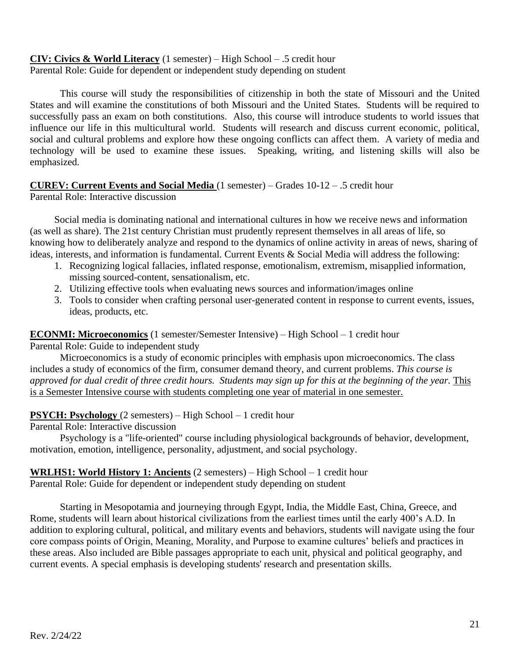# **CIV: Civics & World Literacy** (1 semester) – High School – .5 credit hour

Parental Role: Guide for dependent or independent study depending on student

This course will study the responsibilities of citizenship in both the state of Missouri and the United States and will examine the constitutions of both Missouri and the United States. Students will be required to successfully pass an exam on both constitutions. Also, this course will introduce students to world issues that influence our life in this multicultural world. Students will research and discuss current economic, political, social and cultural problems and explore how these ongoing conflicts can affect them. A variety of media and technology will be used to examine these issues. Speaking, writing, and listening skills will also be emphasized.

#### **CUREV: Current Events and Social Media** (1 semester) – Grades 10-12 – .5 credit hour

Parental Role: Interactive discussion

Social media is dominating national and international cultures in how we receive news and information (as well as share). The 21st century Christian must prudently represent themselves in all areas of life, so knowing how to deliberately analyze and respond to the dynamics of online activity in areas of news, sharing of ideas, interests, and information is fundamental. Current Events & Social Media will address the following:

- 1. Recognizing logical fallacies, inflated response, emotionalism, extremism, misapplied information, missing sourced-content, sensationalism, etc.
- 2. Utilizing effective tools when evaluating news sources and information/images online
- 3. Tools to consider when crafting personal user-generated content in response to current events, issues, ideas, products, etc.

**ECONMI: Microeconomics** (1 semester/Semester Intensive) – High School – 1 credit hour

Parental Role: Guide to independent study

Microeconomics is a study of economic principles with emphasis upon microeconomics. The class includes a study of economics of the firm, consumer demand theory, and current problems. *This course is approved for dual credit of three credit hours. Students may sign up for this at the beginning of the year.* This is a Semester Intensive course with students completing one year of material in one semester.

#### **PSYCH: Psychology** (2 semesters) – High School – 1 credit hour

Parental Role: Interactive discussion

Psychology is a "life-oriented" course including physiological backgrounds of behavior, development, motivation, emotion, intelligence, personality, adjustment, and social psychology.

#### **WRLHS1: World History 1: Ancients** (2 semesters) – High School – 1 credit hour Parental Role: Guide for dependent or independent study depending on student

Starting in Mesopotamia and journeying through Egypt, India, the Middle East, China, Greece, and Rome, students will learn about historical civilizations from the earliest times until the early 400's A.D. In addition to exploring cultural, political, and military events and behaviors, students will navigate using the four core compass points of Origin, Meaning, Morality, and Purpose to examine cultures' beliefs and practices in these areas. Also included are Bible passages appropriate to each unit, physical and political geography, and current events. A special emphasis is developing students' research and presentation skills.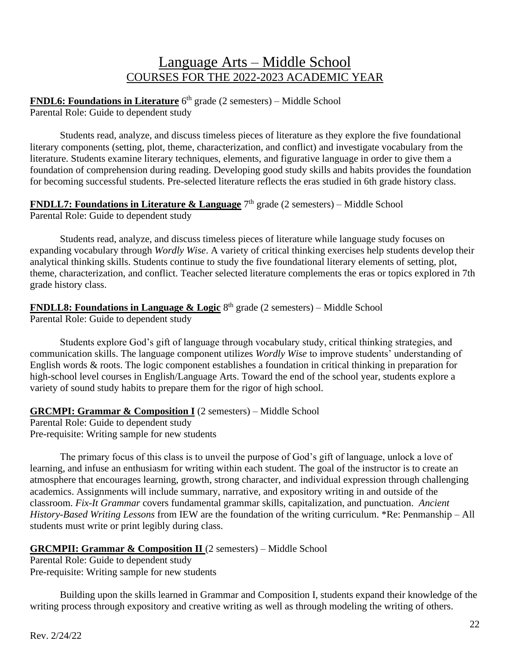## Language Arts – Middle School COURSES FOR THE 2022-2023 ACADEMIC YEAR

**FNDL6: Foundations in Literature** 6<sup>th</sup> grade (2 semesters) – Middle School Parental Role: Guide to dependent study

Students read, analyze, and discuss timeless pieces of literature as they explore the five foundational literary components (setting, plot, theme, characterization, and conflict) and investigate vocabulary from the literature. Students examine literary techniques, elements, and figurative language in order to give them a foundation of comprehension during reading. Developing good study skills and habits provides the foundation for becoming successful students. Pre-selected literature reflects the eras studied in 6th grade history class.

**FNDLL7: Foundations in Literature & Language** 7<sup>th</sup> grade (2 semesters) – Middle School Parental Role: Guide to dependent study

Students read, analyze, and discuss timeless pieces of literature while language study focuses on expanding vocabulary through *Wordly Wise*. A variety of critical thinking exercises help students develop their analytical thinking skills. Students continue to study the five foundational literary elements of setting, plot, theme, characterization, and conflict. Teacher selected literature complements the eras or topics explored in 7th grade history class.

**FNDLL8: Foundations in Language & Logic** 8<sup>th</sup> grade (2 semesters) – Middle School Parental Role: Guide to dependent study

Students explore God's gift of language through vocabulary study, critical thinking strategies, and communication skills. The language component utilizes *Wordly Wise* to improve students' understanding of English words & roots. The logic component establishes a foundation in critical thinking in preparation for high-school level courses in English/Language Arts. Toward the end of the school year, students explore a variety of sound study habits to prepare them for the rigor of high school.

**GRCMPI: Grammar & Composition I** (2 semesters) – Middle School

Parental Role: Guide to dependent study Pre-requisite: Writing sample for new students

The primary focus of this class is to unveil the purpose of God's gift of language, unlock a love of learning, and infuse an enthusiasm for writing within each student. The goal of the instructor is to create an atmosphere that encourages learning, growth, strong character, and individual expression through challenging academics. Assignments will include summary, narrative, and expository writing in and outside of the classroom. *Fix-It Grammar* covers fundamental grammar skills, capitalization, and punctuation. *Ancient History-Based Writing Lessons* from IEW are the foundation of the writing curriculum. \*Re: Penmanship – All students must write or print legibly during class.

#### **GRCMPII: Grammar & Composition II** (2 semesters) – Middle School

Parental Role: Guide to dependent study Pre-requisite: Writing sample for new students

Building upon the skills learned in Grammar and Composition I, students expand their knowledge of the writing process through expository and creative writing as well as through modeling the writing of others.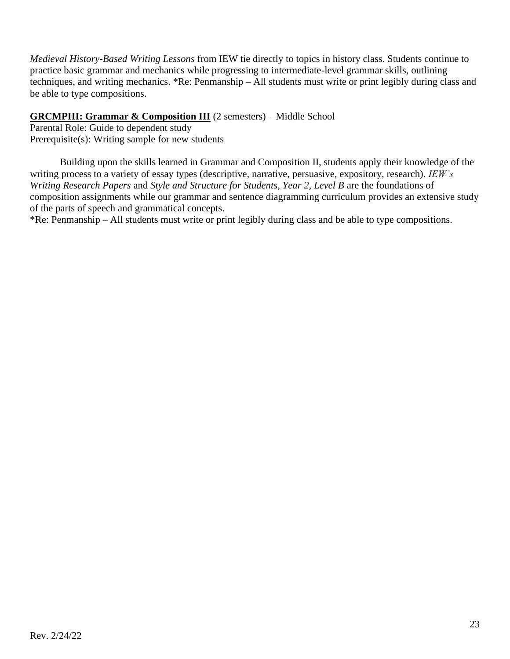*Medieval History-Based Writing Lessons* from IEW tie directly to topics in history class. Students continue to practice basic grammar and mechanics while progressing to intermediate-level grammar skills, outlining techniques, and writing mechanics. \*Re: Penmanship – All students must write or print legibly during class and be able to type compositions.

#### **GRCMPIII: Grammar & Composition III** (2 semesters) – Middle School

Parental Role: Guide to dependent study Prerequisite(s): Writing sample for new students

Building upon the skills learned in Grammar and Composition II, students apply their knowledge of the writing process to a variety of essay types (descriptive, narrative, persuasive, expository, research). *IEW's Writing Research Papers* and *Style and Structure for Students, Year 2, Level B* are the foundations of composition assignments while our grammar and sentence diagramming curriculum provides an extensive study of the parts of speech and grammatical concepts.

\*Re: Penmanship – All students must write or print legibly during class and be able to type compositions.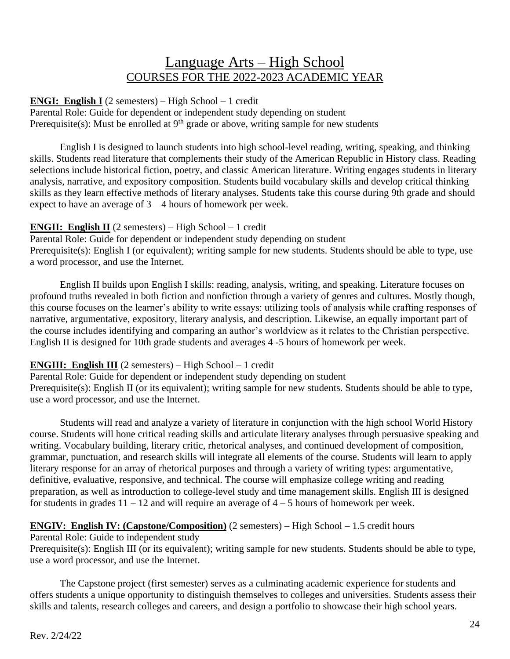## Language Arts – High School COURSES FOR THE 2022-2023 ACADEMIC YEAR

#### **ENGI: English I** (2 semesters) – High School – 1 credit

Parental Role: Guide for dependent or independent study depending on student Prerequisite(s): Must be enrolled at  $9<sup>th</sup>$  grade or above, writing sample for new students

English I is designed to launch students into high school-level reading, writing, speaking, and thinking skills. Students read literature that complements their study of the American Republic in History class. Reading selections include historical fiction, poetry, and classic American literature. Writing engages students in literary analysis, narrative, and expository composition. Students build vocabulary skills and develop critical thinking skills as they learn effective methods of literary analyses. Students take this course during 9th grade and should expect to have an average of  $3 - 4$  hours of homework per week.

#### **ENGII: English II** (2 semesters) – High School – 1 credit

Parental Role: Guide for dependent or independent study depending on student Prerequisite(s): English I (or equivalent); writing sample for new students. Students should be able to type, use a word processor, and use the Internet.

English II builds upon English I skills: reading, analysis, writing, and speaking. Literature focuses on profound truths revealed in both fiction and nonfiction through a variety of genres and cultures. Mostly though, this course focuses on the learner's ability to write essays: utilizing tools of analysis while crafting responses of narrative, argumentative, expository, literary analysis, and description. Likewise, an equally important part of the course includes identifying and comparing an author's worldview as it relates to the Christian perspective. English II is designed for 10th grade students and averages 4 -5 hours of homework per week.

#### **ENGIII: English III** (2 semesters) – High School – 1 credit

Parental Role: Guide for dependent or independent study depending on student Prerequisite(s): English II (or its equivalent); writing sample for new students. Students should be able to type, use a word processor, and use the Internet.

Students will read and analyze a variety of literature in conjunction with the high school World History course. Students will hone critical reading skills and articulate literary analyses through persuasive speaking and writing. Vocabulary building, literary critic, rhetorical analyses, and continued development of composition, grammar, punctuation, and research skills will integrate all elements of the course. Students will learn to apply literary response for an array of rhetorical purposes and through a variety of writing types: argumentative, definitive, evaluative, responsive, and technical. The course will emphasize college writing and reading preparation, as well as introduction to college-level study and time management skills. English III is designed for students in grades  $11 - 12$  and will require an average of  $4 - 5$  hours of homework per week.

#### **ENGIV: English IV: (Capstone/Composition)** (2 semesters) – High School – 1.5 credit hours

#### Parental Role: Guide to independent study

Prerequisite(s): English III (or its equivalent); writing sample for new students. Students should be able to type, use a word processor, and use the Internet.

The Capstone project (first semester) serves as a culminating academic experience for students and offers students a unique opportunity to distinguish themselves to colleges and universities. Students assess their skills and talents, research colleges and careers, and design a portfolio to showcase their high school years.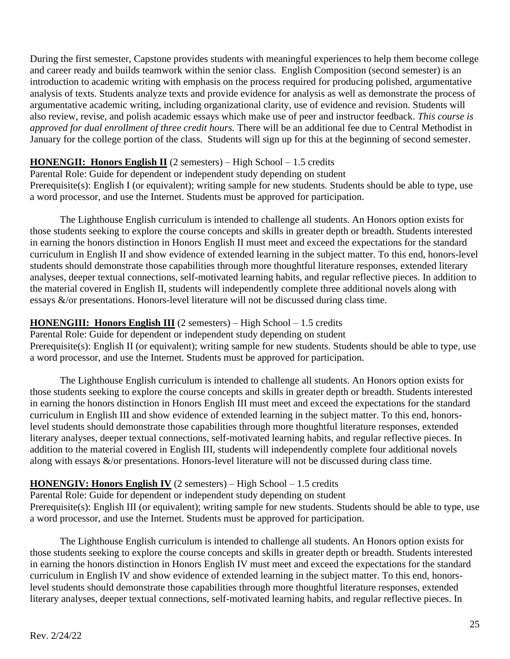During the first semester, Capstone provides students with meaningful experiences to help them become college and career ready and builds teamwork within the senior class. English Composition (second semester) is an introduction to academic writing with emphasis on the process required for producing polished, argumentative analysis of texts. Students analyze texts and provide evidence for analysis as well as demonstrate the process of argumentative academic writing, including organizational clarity, use of evidence and revision. Students will also review, revise, and polish academic essays which make use of peer and instructor feedback. *This course is approved for dual enrollment of three credit hours.* There will be an additional fee due to Central Methodist in January for the college portion of the class. Students will sign up for this at the beginning of second semester.

#### **HONENGII: Honors English II** (2 semesters) – High School – 1.5 credits

Parental Role: Guide for dependent or independent study depending on student Prerequisite(s): English I (or equivalent); writing sample for new students. Students should be able to type, use a word processor, and use the Internet. Students must be approved for participation.

The Lighthouse English curriculum is intended to challenge all students. An Honors option exists for those students seeking to explore the course concepts and skills in greater depth or breadth. Students interested in earning the honors distinction in Honors English II must meet and exceed the expectations for the standard curriculum in English II and show evidence of extended learning in the subject matter. To this end, honors-level students should demonstrate those capabilities through more thoughtful literature responses, extended literary analyses, deeper textual connections, self-motivated learning habits, and regular reflective pieces. In addition to the material covered in English II, students will independently complete three additional novels along with essays &/or presentations. Honors-level literature will not be discussed during class time.

#### **HONENGIII: Honors English III** (2 semesters) – High School – 1.5 credits

Parental Role: Guide for dependent or independent study depending on student Prerequisite(s): English II (or equivalent); writing sample for new students. Students should be able to type, use a word processor, and use the Internet. Students must be approved for participation.

The Lighthouse English curriculum is intended to challenge all students. An Honors option exists for those students seeking to explore the course concepts and skills in greater depth or breadth. Students interested in earning the honors distinction in Honors English III must meet and exceed the expectations for the standard curriculum in English III and show evidence of extended learning in the subject matter. To this end, honorslevel students should demonstrate those capabilities through more thoughtful literature responses, extended literary analyses, deeper textual connections, self-motivated learning habits, and regular reflective pieces. In addition to the material covered in English III, students will independently complete four additional novels along with essays  $\&$ /or presentations. Honors-level literature will not be discussed during class time.

#### **HONENGIV: Honors English IV** (2 semesters) – High School – 1.5 credits

Parental Role: Guide for dependent or independent study depending on student Prerequisite(s): English III (or equivalent); writing sample for new students. Students should be able to type, use a word processor, and use the Internet. Students must be approved for participation.

The Lighthouse English curriculum is intended to challenge all students. An Honors option exists for those students seeking to explore the course concepts and skills in greater depth or breadth. Students interested in earning the honors distinction in Honors English IV must meet and exceed the expectations for the standard curriculum in English IV and show evidence of extended learning in the subject matter. To this end, honorslevel students should demonstrate those capabilities through more thoughtful literature responses, extended literary analyses, deeper textual connections, self-motivated learning habits, and regular reflective pieces. In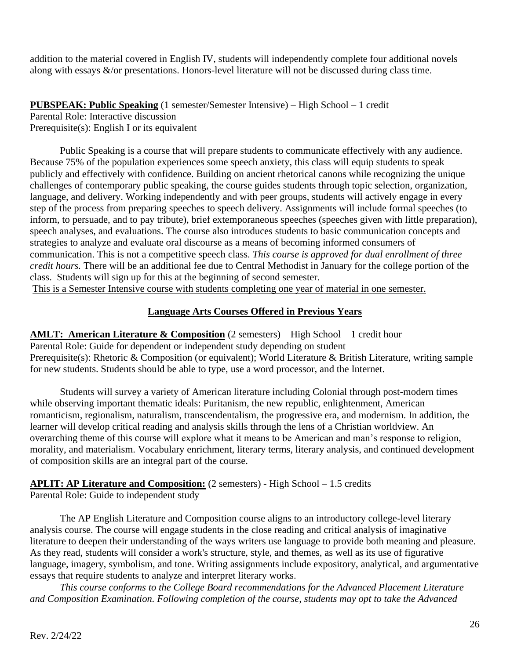addition to the material covered in English IV, students will independently complete four additional novels along with essays &/or presentations. Honors-level literature will not be discussed during class time.

**PUBSPEAK: Public Speaking** (1 semester/Semester Intensive) – High School – 1 credit

Parental Role: Interactive discussion Prerequisite(s): English I or its equivalent

Public Speaking is a course that will prepare students to communicate effectively with any audience. Because 75% of the population experiences some speech anxiety, this class will equip students to speak publicly and effectively with confidence. Building on ancient rhetorical canons while recognizing the unique challenges of contemporary public speaking, the course guides students through topic selection, organization, language, and delivery. Working independently and with peer groups, students will actively engage in every step of the process from preparing speeches to speech delivery. Assignments will include formal speeches (to inform, to persuade, and to pay tribute), brief extemporaneous speeches (speeches given with little preparation), speech analyses, and evaluations. The course also introduces students to basic communication concepts and strategies to analyze and evaluate oral discourse as a means of becoming informed consumers of communication. This is not a competitive speech class. *This course is approved for dual enrollment of three credit hours.* There will be an additional fee due to Central Methodist in January for the college portion of the class. Students will sign up for this at the beginning of second semester.

This is a Semester Intensive course with students completing one year of material in one semester.

#### **Language Arts Courses Offered in Previous Years**

**AMLT: American Literature & Composition** (2 semesters) – High School – 1 credit hour Parental Role: Guide for dependent or independent study depending on student Prerequisite(s): Rhetoric & Composition (or equivalent); World Literature & British Literature, writing sample for new students. Students should be able to type, use a word processor, and the Internet.

Students will survey a variety of American literature including Colonial through post-modern times while observing important thematic ideals: Puritanism, the new republic, enlightenment, American romanticism, regionalism, naturalism, transcendentalism, the progressive era, and modernism. In addition, the learner will develop critical reading and analysis skills through the lens of a Christian worldview. An overarching theme of this course will explore what it means to be American and man's response to religion, morality, and materialism. Vocabulary enrichment, literary terms, literary analysis, and continued development of composition skills are an integral part of the course.

**APLIT: AP Literature and Composition:** (2 semesters) - High School – 1.5 credits Parental Role: Guide to independent study

The AP English Literature and Composition course aligns to an introductory college-level literary analysis course. The course will engage students in the close reading and critical analysis of imaginative literature to deepen their understanding of the ways writers use language to provide both meaning and pleasure. As they read, students will consider a work's structure, style, and themes, as well as its use of figurative language, imagery, symbolism, and tone. Writing assignments include expository, analytical, and argumentative essays that require students to analyze and interpret literary works.

*This course conforms to the College Board recommendations for the Advanced Placement Literature and Composition Examination. Following completion of the course, students may opt to take the Advanced*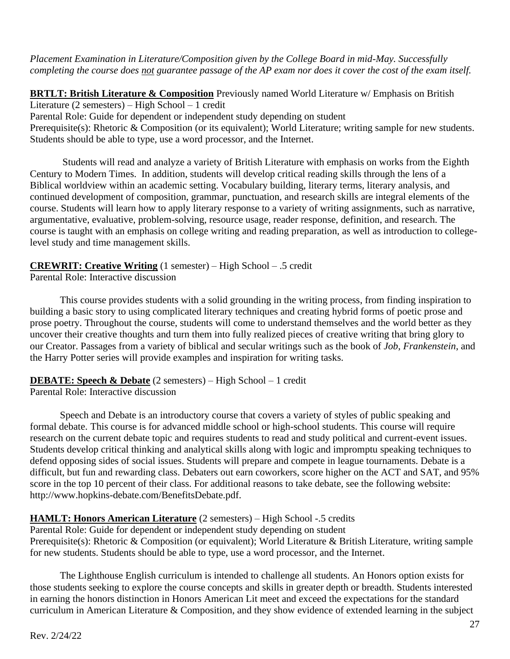*Placement Examination in Literature/Composition given by the College Board in mid-May. Successfully completing the course does not guarantee passage of the AP exam nor does it cover the cost of the exam itself.*

**BRTLT: British Literature & Composition** Previously named World Literature w/ Emphasis on British Literature (2 semesters) – High School – 1 credit Parental Role: Guide for dependent or independent study depending on student Prerequisite(s): Rhetoric & Composition (or its equivalent); World Literature; writing sample for new students. Students should be able to type, use a word processor, and the Internet.

Students will read and analyze a variety of British Literature with emphasis on works from the Eighth Century to Modern Times. In addition, students will develop critical reading skills through the lens of a Biblical worldview within an academic setting. Vocabulary building, literary terms, literary analysis, and continued development of composition, grammar, punctuation, and research skills are integral elements of the course. Students will learn how to apply literary response to a variety of writing assignments, such as narrative, argumentative, evaluative, problem-solving, resource usage, reader response, definition, and research. The course is taught with an emphasis on college writing and reading preparation, as well as introduction to collegelevel study and time management skills.

## **CREWRIT: Creative Writing** (1 semester) – High School – .5 credit

Parental Role: Interactive discussion

This course provides students with a solid grounding in the writing process, from finding inspiration to building a basic story to using complicated literary techniques and creating hybrid forms of poetic prose and prose poetry. Throughout the course, students will come to understand themselves and the world better as they uncover their creative thoughts and turn them into fully realized pieces of creative writing that bring glory to our Creator. Passages from a variety of biblical and secular writings such as the book of *Job*, *Frankenstein*, and the Harry Potter series will provide examples and inspiration for writing tasks.

### **DEBATE: Speech & Debate** (2 semesters) – High School – 1 credit

Parental Role: Interactive discussion

Speech and Debate is an introductory course that covers a variety of styles of public speaking and formal debate. This course is for advanced middle school or high-school students. This course will require research on the current debate topic and requires students to read and study political and current-event issues. Students develop critical thinking and analytical skills along with logic and impromptu speaking techniques to defend opposing sides of social issues. Students will prepare and compete in league tournaments. Debate is a difficult, but fun and rewarding class. Debaters out earn coworkers, score higher on the ACT and SAT, and 95% score in the top 10 percent of their class. For additional reasons to take debate, see the following website: http://www.hopkins-debate.com/BenefitsDebate.pdf.

### **HAMLT: Honors American Literature** (2 semesters) – High School -.5 credits

Parental Role: Guide for dependent or independent study depending on student Prerequisite(s): Rhetoric & Composition (or equivalent); World Literature & British Literature, writing sample for new students. Students should be able to type, use a word processor, and the Internet.

The Lighthouse English curriculum is intended to challenge all students. An Honors option exists for those students seeking to explore the course concepts and skills in greater depth or breadth. Students interested in earning the honors distinction in Honors American Lit meet and exceed the expectations for the standard curriculum in American Literature & Composition, and they show evidence of extended learning in the subject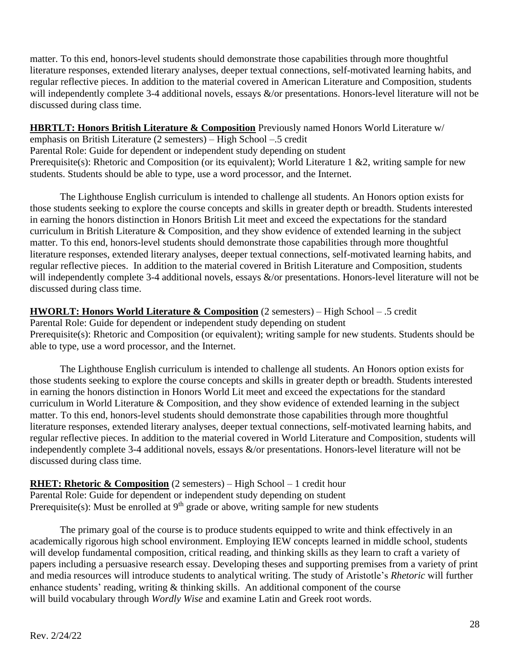matter. To this end, honors-level students should demonstrate those capabilities through more thoughtful literature responses, extended literary analyses, deeper textual connections, self-motivated learning habits, and regular reflective pieces. In addition to the material covered in American Literature and Composition, students will independently complete 3-4 additional novels, essays  $\&$ /or presentations. Honors-level literature will not be discussed during class time.

#### **HBRTLT: Honors British Literature & Composition** Previously named Honors World Literature w/

emphasis on British Literature (2 semesters) – High School –.5 credit Parental Role: Guide for dependent or independent study depending on student Prerequisite(s): Rhetoric and Composition (or its equivalent); World Literature 1 &2, writing sample for new students. Students should be able to type, use a word processor, and the Internet.

The Lighthouse English curriculum is intended to challenge all students. An Honors option exists for those students seeking to explore the course concepts and skills in greater depth or breadth. Students interested in earning the honors distinction in Honors British Lit meet and exceed the expectations for the standard curriculum in British Literature & Composition, and they show evidence of extended learning in the subject matter. To this end, honors-level students should demonstrate those capabilities through more thoughtful literature responses, extended literary analyses, deeper textual connections, self-motivated learning habits, and regular reflective pieces. In addition to the material covered in British Literature and Composition, students will independently complete 3-4 additional novels, essays  $\&$ /or presentations. Honors-level literature will not be discussed during class time.

#### **HWORLT: Honors World Literature & Composition** (2 semesters) – High School – .5 credit Parental Role: Guide for dependent or independent study depending on student Prerequisite(s): Rhetoric and Composition (or equivalent); writing sample for new students. Students should be able to type, use a word processor, and the Internet.

The Lighthouse English curriculum is intended to challenge all students. An Honors option exists for those students seeking to explore the course concepts and skills in greater depth or breadth. Students interested in earning the honors distinction in Honors World Lit meet and exceed the expectations for the standard curriculum in World Literature & Composition, and they show evidence of extended learning in the subject matter. To this end, honors-level students should demonstrate those capabilities through more thoughtful literature responses, extended literary analyses, deeper textual connections, self-motivated learning habits, and regular reflective pieces. In addition to the material covered in World Literature and Composition, students will independently complete 3-4 additional novels, essays &/or presentations. Honors-level literature will not be discussed during class time.

**RHET: Rhetoric & Composition** (2 semesters) – High School – 1 credit hour Parental Role: Guide for dependent or independent study depending on student Prerequisite(s): Must be enrolled at  $9<sup>th</sup>$  grade or above, writing sample for new students

The primary goal of the course is to produce students equipped to write and think effectively in an academically rigorous high school environment. Employing IEW concepts learned in middle school, students will develop fundamental composition, critical reading, and thinking skills as they learn to craft a variety of papers including a persuasive research essay. Developing theses and supporting premises from a variety of print and media resources will introduce students to analytical writing. The study of Aristotle's *Rhetoric* will further enhance students' reading, writing & thinking skills. An additional component of the course will build vocabulary through *Wordly Wise* and examine Latin and Greek root words.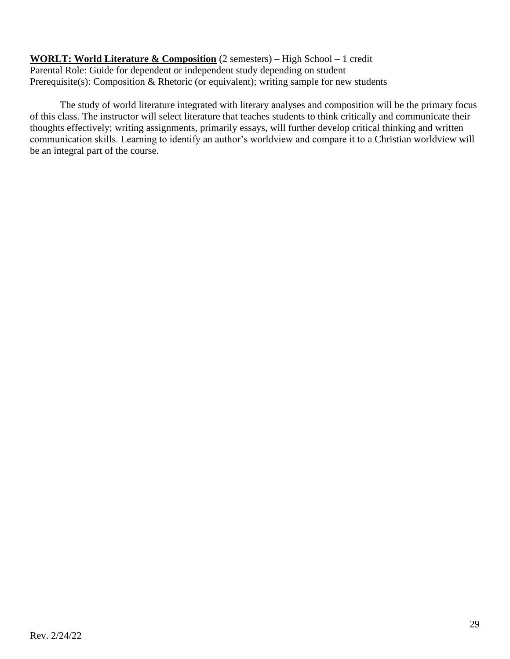**WORLT: World Literature & Composition** (2 semesters) – High School – 1 credit Parental Role: Guide for dependent or independent study depending on student Prerequisite(s): Composition & Rhetoric (or equivalent); writing sample for new students

The study of world literature integrated with literary analyses and composition will be the primary focus of this class. The instructor will select literature that teaches students to think critically and communicate their thoughts effectively; writing assignments, primarily essays, will further develop critical thinking and written communication skills. Learning to identify an author's worldview and compare it to a Christian worldview will be an integral part of the course.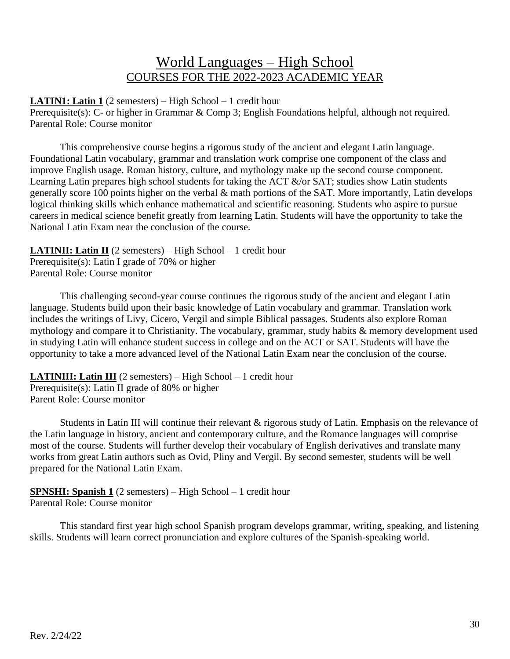## World Languages – High School COURSES FOR THE 2022-2023 ACADEMIC YEAR

**LATIN1: Latin 1** (2 semesters) – High School – 1 credit hour Prerequisite(s): C- or higher in Grammar & Comp 3; English Foundations helpful, although not required. Parental Role: Course monitor

This comprehensive course begins a rigorous study of the ancient and elegant Latin language. Foundational Latin vocabulary, grammar and translation work comprise one component of the class and improve English usage. Roman history, culture, and mythology make up the second course component. Learning Latin prepares high school students for taking the ACT &/or SAT; studies show Latin students generally score 100 points higher on the verbal & math portions of the SAT. More importantly, Latin develops logical thinking skills which enhance mathematical and scientific reasoning. Students who aspire to pursue careers in medical science benefit greatly from learning Latin. Students will have the opportunity to take the National Latin Exam near the conclusion of the course.

**LATINII: Latin II** (2 semesters) – High School – 1 credit hour Prerequisite(s): Latin I grade of 70% or higher Parental Role: Course monitor

This challenging second-year course continues the rigorous study of the ancient and elegant Latin language. Students build upon their basic knowledge of Latin vocabulary and grammar. Translation work includes the writings of Livy, Cicero, Vergil and simple Biblical passages. Students also explore Roman mythology and compare it to Christianity. The vocabulary, grammar, study habits & memory development used in studying Latin will enhance student success in college and on the ACT or SAT. Students will have the opportunity to take a more advanced level of the National Latin Exam near the conclusion of the course.

**LATINIII: Latin III** (2 semesters) – High School – 1 credit hour Prerequisite(s): Latin II grade of 80% or higher Parent Role: Course monitor

Students in Latin III will continue their relevant & rigorous study of Latin. Emphasis on the relevance of the Latin language in history, ancient and contemporary culture, and the Romance languages will comprise most of the course. Students will further develop their vocabulary of English derivatives and translate many works from great Latin authors such as Ovid, Pliny and Vergil. By second semester, students will be well prepared for the National Latin Exam.

#### **SPNSHI: Spanish 1** (2 semesters) – High School – 1 credit hour Parental Role: Course monitor

This standard first year high school Spanish program develops grammar, writing, speaking, and listening skills. Students will learn correct pronunciation and explore cultures of the Spanish-speaking world.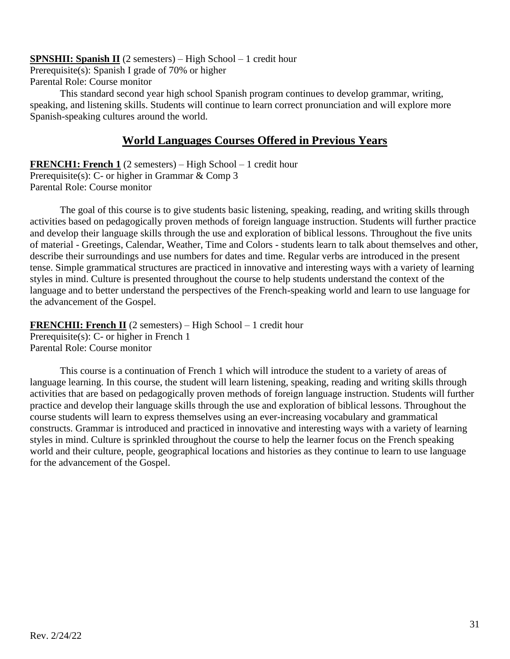**SPNSHII: Spanish II** (2 semesters) – High School – 1 credit hour

Prerequisite(s): Spanish I grade of 70% or higher

Parental Role: Course monitor

This standard second year high school Spanish program continues to develop grammar, writing, speaking, and listening skills. Students will continue to learn correct pronunciation and will explore more Spanish-speaking cultures around the world.

### **World Languages Courses Offered in Previous Years**

**FRENCH1: French 1** (2 semesters) – High School – 1 credit hour Prerequisite(s): C- or higher in Grammar & Comp 3 Parental Role: Course monitor

The goal of this course is to give students basic listening, speaking, reading, and writing skills through activities based on pedagogically proven methods of foreign language instruction. Students will further practice and develop their language skills through the use and exploration of biblical lessons. Throughout the five units of material - Greetings, Calendar, Weather, Time and Colors - students learn to talk about themselves and other, describe their surroundings and use numbers for dates and time. Regular verbs are introduced in the present tense. Simple grammatical structures are practiced in innovative and interesting ways with a variety of learning styles in mind. Culture is presented throughout the course to help students understand the context of the language and to better understand the perspectives of the French-speaking world and learn to use language for the advancement of the Gospel.

**FRENCHII: French II** (2 semesters) – High School – 1 credit hour Prerequisite(s): C- or higher in French 1 Parental Role: Course monitor

This course is a continuation of French 1 which will introduce the student to a variety of areas of language learning. In this course, the student will learn listening, speaking, reading and writing skills through activities that are based on pedagogically proven methods of foreign language instruction. Students will further practice and develop their language skills through the use and exploration of biblical lessons. Throughout the course students will learn to express themselves using an ever-increasing vocabulary and grammatical constructs. Grammar is introduced and practiced in innovative and interesting ways with a variety of learning styles in mind. Culture is sprinkled throughout the course to help the learner focus on the French speaking world and their culture, people, geographical locations and histories as they continue to learn to use language for the advancement of the Gospel.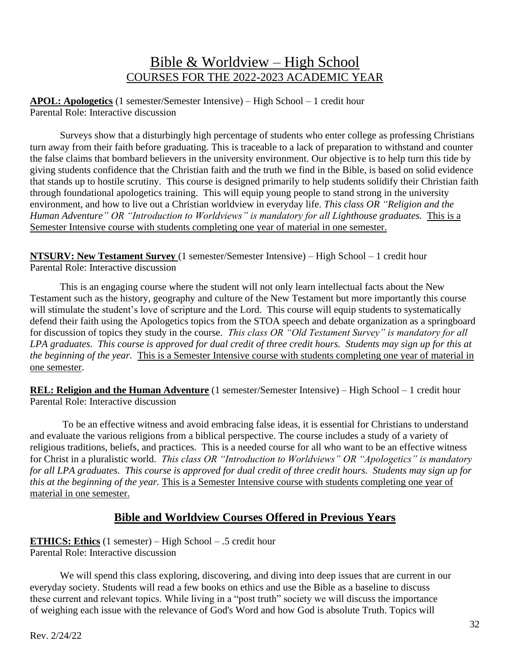## Bible & Worldview – High School COURSES FOR THE 2022-2023 ACADEMIC YEAR

**APOL: Apologetics** (1 semester/Semester Intensive) – High School – 1 credit hour Parental Role: Interactive discussion

Surveys show that a disturbingly high percentage of students who enter college as professing Christians turn away from their faith before graduating. This is traceable to a lack of preparation to withstand and counter the false claims that bombard believers in the university environment. Our objective is to help turn this tide by giving students confidence that the Christian faith and the truth we find in the Bible, is based on solid evidence that stands up to hostile scrutiny. This course is designed primarily to help students solidify their Christian faith through foundational apologetics training. This will equip young people to stand strong in the university environment, and how to live out a Christian worldview in everyday life. *This class OR "Religion and the Human Adventure" OR "Introduction to Worldviews" is mandatory for all Lighthouse graduates.* This is a Semester Intensive course with students completing one year of material in one semester.

**NTSURV: New Testament Survey** (1 semester/Semester Intensive) – High School – 1 credit hour Parental Role: Interactive discussion

This is an engaging course where the student will not only learn intellectual facts about the New Testament such as the history, geography and culture of the New Testament but more importantly this course will stimulate the student's love of scripture and the Lord. This course will equip students to systematically defend their faith using the Apologetics topics from the STOA speech and debate organization as a springboard for discussion of topics they study in the course. *This class OR "Old Testament Survey" is mandatory for all LPA graduates. This course is approved for dual credit of three credit hours. Students may sign up for this at the beginning of the year.* This is a Semester Intensive course with students completing one year of material in one semester.

**REL: Religion and the Human Adventure** (1 semester/Semester Intensive) – High School – 1 credit hour Parental Role: Interactive discussion

To be an effective witness and avoid embracing false ideas, it is essential for Christians to understand and evaluate the various religions from a biblical perspective. The course includes a study of a variety of religious traditions, beliefs, and practices. This is a needed course for all who want to be an effective witness for Christ in a pluralistic world. *This class OR "Introduction to Worldviews" OR "Apologetics" is mandatory for all LPA graduates. This course is approved for dual credit of three credit hours. Students may sign up for this at the beginning of the year.* This is a Semester Intensive course with students completing one year of material in one semester.

### **Bible and Worldview Courses Offered in Previous Years**

#### **ETHICS: Ethics** (1 semester) – High School – .5 credit hour Parental Role: Interactive discussion

We will spend this class exploring, discovering, and diving into deep issues that are current in our everyday society. Students will read a few books on ethics and use the Bible as a baseline to discuss these current and relevant topics. While living in a "post truth" society we will discuss the importance of weighing each issue with the relevance of God's Word and how God is absolute Truth. Topics will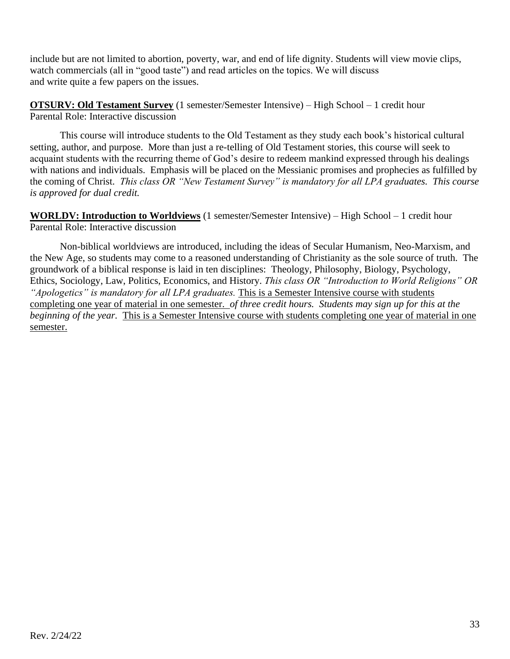include but are not limited to abortion, poverty, war, and end of life dignity. Students will view movie clips, watch commercials (all in "good taste") and read articles on the topics. We will discuss and write quite a few papers on the issues.

**OTSURV: Old Testament Survey** (1 semester/Semester Intensive) – High School – 1 credit hour Parental Role: Interactive discussion

This course will introduce students to the Old Testament as they study each book's historical cultural setting, author, and purpose. More than just a re-telling of Old Testament stories, this course will seek to acquaint students with the recurring theme of God's desire to redeem mankind expressed through his dealings with nations and individuals. Emphasis will be placed on the Messianic promises and prophecies as fulfilled by the coming of Christ. *This class OR "New Testament Survey" is mandatory for all LPA graduates. This course is approved for dual credit.*

**WORLDV: Introduction to Worldviews** (1 semester/Semester Intensive) – High School – 1 credit hour Parental Role: Interactive discussion

Non-biblical worldviews are introduced, including the ideas of Secular Humanism, Neo-Marxism, and the New Age, so students may come to a reasoned understanding of Christianity as the sole source of truth. The groundwork of a biblical response is laid in ten disciplines: Theology, Philosophy, Biology, Psychology, Ethics, Sociology, Law, Politics, Economics, and History. *This class OR "Introduction to World Religions" OR "Apologetics" is mandatory for all LPA graduates.* This is a Semester Intensive course with students completing one year of material in one semester. *of three credit hours. Students may sign up for this at the beginning of the year.* This is a Semester Intensive course with students completing one year of material in one semester.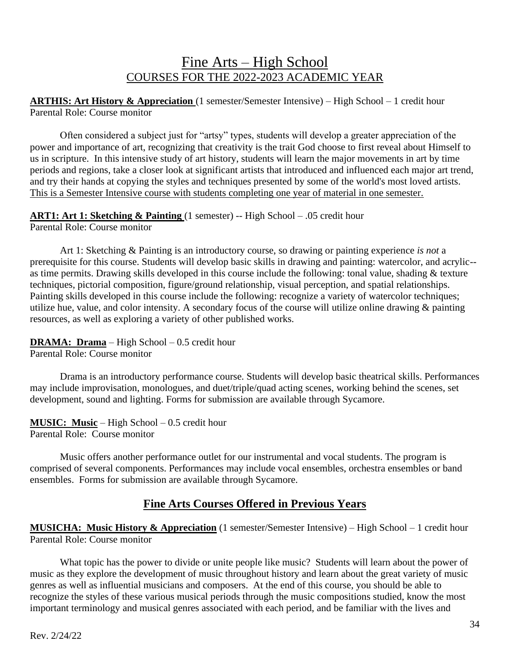## Fine Arts – High School COURSES FOR THE 2022-2023 ACADEMIC YEAR

**ARTHIS: Art History & Appreciation** (1 semester/Semester Intensive) – High School – 1 credit hour Parental Role: Course monitor

Often considered a subject just for "artsy" types, students will develop a greater appreciation of the power and importance of art, recognizing that creativity is the trait God choose to first reveal about Himself to us in scripture. In this intensive study of art history, students will learn the major movements in art by time periods and regions, take a closer look at significant artists that introduced and influenced each major art trend, and try their hands at copying the styles and techniques presented by some of the world's most loved artists. This is a Semester Intensive course with students completing one year of material in one semester.

**ART1: Art 1: Sketching & Painting** (1 semester) -- High School – .05 credit hour Parental Role: Course monitor

Art 1: Sketching & Painting is an introductory course, so drawing or painting experience *is not* a prerequisite for this course. Students will develop basic skills in drawing and painting: watercolor, and acrylic- as time permits. Drawing skills developed in this course include the following: tonal value, shading & texture techniques, pictorial composition, figure/ground relationship, visual perception, and spatial relationships. Painting skills developed in this course include the following: recognize a variety of watercolor techniques; utilize hue, value, and color intensity. A secondary focus of the course will utilize online drawing & painting resources, as well as exploring a variety of other published works.

**DRAMA: Drama** – High School – 0.5 credit hour

Parental Role: Course monitor

Drama is an introductory performance course. Students will develop basic theatrical skills. Performances may include improvisation, monologues, and duet/triple/quad acting scenes, working behind the scenes, set development, sound and lighting. Forms for submission are available through Sycamore.

**MUSIC: Music** – High School – 0.5 credit hour Parental Role: Course monitor

Music offers another performance outlet for our instrumental and vocal students. The program is comprised of several components. Performances may include vocal ensembles, orchestra ensembles or band ensembles. Forms for submission are available through Sycamore.

### **Fine Arts Courses Offered in Previous Years**

**MUSICHA: Music History & Appreciation** (1 semester/Semester Intensive) – High School – 1 credit hour Parental Role: Course monitor

What topic has the power to divide or unite people like music? Students will learn about the power of music as they explore the development of music throughout history and learn about the great variety of music genres as well as influential musicians and composers. At the end of this course, you should be able to recognize the styles of these various musical periods through the music compositions studied, know the most important terminology and musical genres associated with each period, and be familiar with the lives and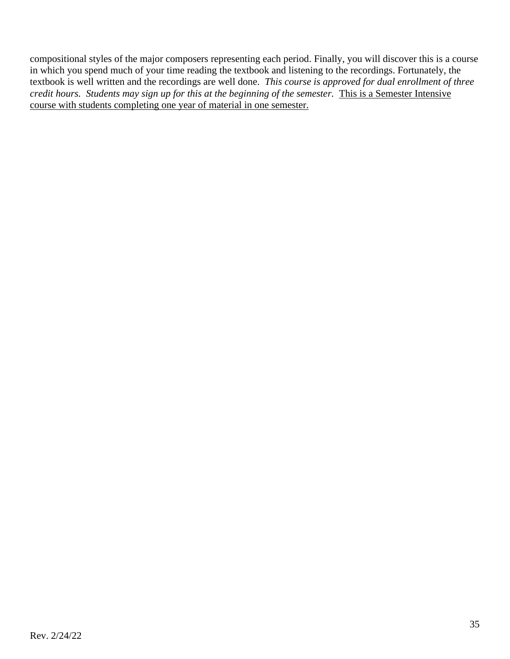compositional styles of the major composers representing each period. Finally, you will discover this is a course in which you spend much of your time reading the textbook and listening to the recordings. Fortunately, the textbook is well written and the recordings are well done. *This course is approved for dual enrollment of three credit hours. Students may sign up for this at the beginning of the semester.* This is a Semester Intensive course with students completing one year of material in one semester.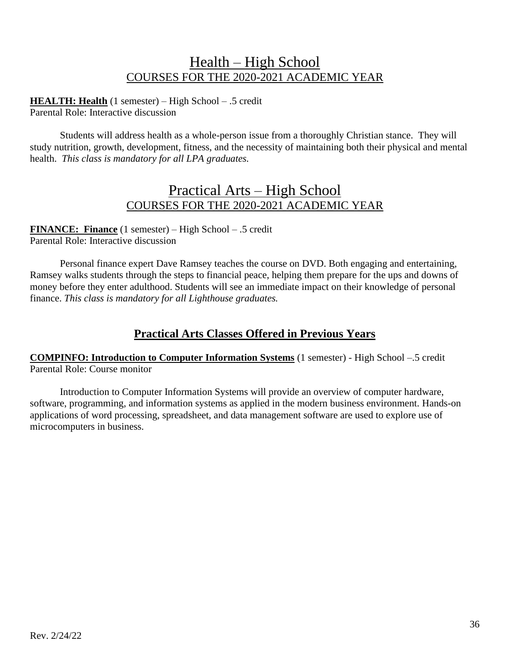## Health – High School COURSES FOR THE 2020-2021 ACADEMIC YEAR

**HEALTH: Health** (1 semester) – High School – .5 credit Parental Role: Interactive discussion

Students will address health as a whole-person issue from a thoroughly Christian stance. They will study nutrition, growth, development, fitness, and the necessity of maintaining both their physical and mental health. *This class is mandatory for all LPA graduates.*

### Practical Arts – High School COURSES FOR THE 2020-2021 ACADEMIC YEAR

**FINANCE: Finance** (1 semester) – High School – .5 credit Parental Role: Interactive discussion

Personal finance expert Dave Ramsey teaches the course on DVD. Both engaging and entertaining, Ramsey walks students through the steps to financial peace, helping them prepare for the ups and downs of money before they enter adulthood. Students will see an immediate impact on their knowledge of personal finance. *This class is mandatory for all Lighthouse graduates.*

### **Practical Arts Classes Offered in Previous Years**

**COMPINFO: Introduction to Computer Information Systems** (1 semester) - High School –.5 credit Parental Role: Course monitor

Introduction to Computer Information Systems will provide an overview of computer hardware, software, programming, and information systems as applied in the modern business environment. Hands-on applications of word processing, spreadsheet, and data management software are used to explore use of microcomputers in business.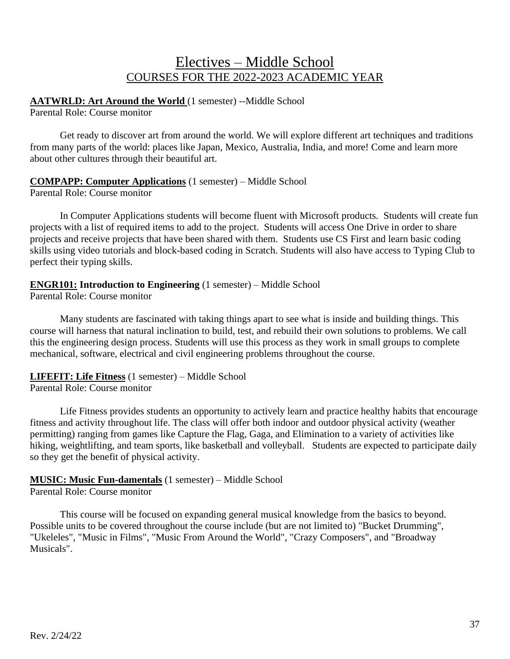## Electives – Middle School COURSES FOR THE 2022-2023 ACADEMIC YEAR

### **AATWRLD: Art Around the World** (1 semester) --Middle School

Parental Role: Course monitor

Get ready to discover art from around the world. We will explore different art techniques and traditions from many parts of the world: places like Japan, Mexico, Australia, India, and more! Come and learn more about other cultures through their beautiful art.

#### **COMPAPP: Computer Applications** (1 semester) – Middle School

Parental Role: Course monitor

In Computer Applications students will become fluent with Microsoft products*.* Students will create fun projects with a list of required items to add to the project. Students will access One Drive in order to share projects and receive projects that have been shared with them. Students use CS First and learn basic coding skills using video tutorials and block-based coding in Scratch. Students will also have access to Typing Club to perfect their typing skills.

#### **ENGR101: Introduction to Engineering** (1 semester) – Middle School

Parental Role: Course monitor

Many students are fascinated with taking things apart to see what is inside and building things. This course will harness that natural inclination to build, test, and rebuild their own solutions to problems. We call this the engineering design process. Students will use this process as they work in small groups to complete mechanical, software, electrical and civil engineering problems throughout the course.

### **LIFEFIT: Life Fitness** (1 semester) – Middle School

Parental Role: Course monitor

Life Fitness provides students an opportunity to actively learn and practice healthy habits that encourage fitness and activity throughout life. The class will offer both indoor and outdoor physical activity (weather permitting) ranging from games like Capture the Flag, Gaga, and Elimination to a variety of activities like hiking, weightlifting, and team sports, like basketball and volleyball. Students are expected to participate daily so they get the benefit of physical activity.

#### **MUSIC: Music Fun-damentals** (1 semester) – Middle School

Parental Role: Course monitor

This course will be focused on expanding general musical knowledge from the basics to beyond. Possible units to be covered throughout the course include (but are not limited to) "Bucket Drumming", "Ukeleles", "Music in Films", "Music From Around the World", "Crazy Composers", and "Broadway Musicals".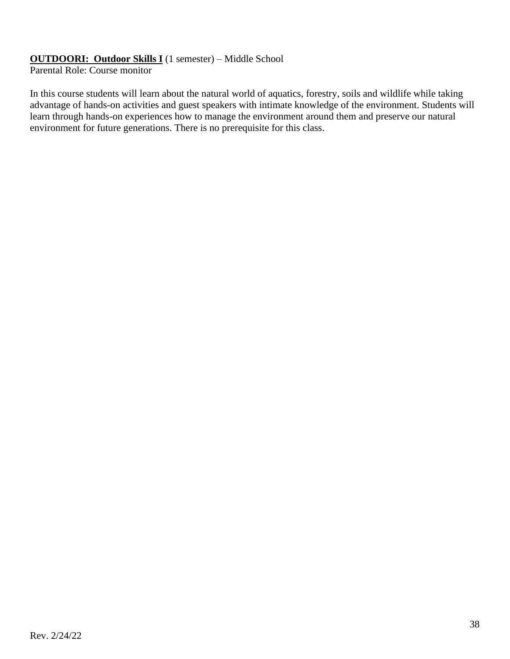#### **OUTDOORI: Outdoor Skills I** (1 semester) – Middle School

Parental Role: Course monitor

In this course students will learn about the natural world of aquatics, forestry, soils and wildlife while taking advantage of hands-on activities and guest speakers with intimate knowledge of the environment. Students will learn through hands-on experiences how to manage the environment around them and preserve our natural environment for future generations. There is no prerequisite for this class.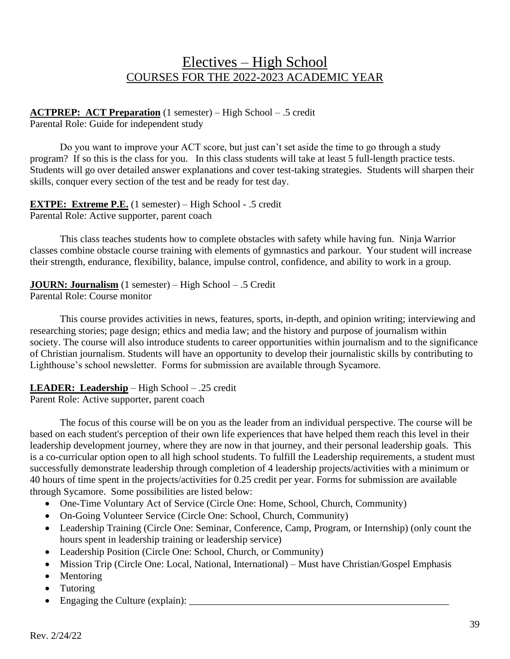## Electives – High School COURSES FOR THE 2022-2023 ACADEMIC YEAR

#### **ACTPREP: ACT Preparation** (1 semester) – High School – .5 credit Parental Role: Guide for independent study

Do you want to improve your ACT score, but just can't set aside the time to go through a study program? If so this is the class for you. In this class students will take at least 5 full-length practice tests. Students will go over detailed answer explanations and cover test-taking strategies. Students will sharpen their skills, conquer every section of the test and be ready for test day.

**EXTPE: Extreme P.E.** (1 semester) – High School - .5 credit Parental Role: Active supporter, parent coach

This class teaches students how to complete obstacles with safety while having fun. Ninja Warrior classes combine obstacle course training with elements of gymnastics and parkour. Your student will increase their strength, endurance, flexibility, balance, impulse control, confidence, and ability to work in a group.

**JOURN: Journalism** (1 semester) – High School – .5 Credit

Parental Role: Course monitor

This course provides activities in news, features, sports, in-depth, and opinion writing; interviewing and researching stories; page design; ethics and media law; and the history and purpose of journalism within society. The course will also introduce students to career opportunities within journalism and to the significance of Christian journalism. Students will have an opportunity to develop their journalistic skills by contributing to Lighthouse's school newsletter. Forms for submission are available through Sycamore.

### **LEADER: Leadership** – High School – .25 credit

Parent Role: Active supporter, parent coach

The focus of this course will be on you as the leader from an individual perspective. The course will be based on each student's perception of their own life experiences that have helped them reach this level in their leadership development journey, where they are now in that journey, and their personal leadership goals. This is a co-curricular option open to all high school students. To fulfill the Leadership requirements, a student must successfully demonstrate leadership through completion of 4 leadership projects/activities with a minimum or 40 hours of time spent in the projects/activities for 0.25 credit per year. Forms for submission are available through Sycamore. Some possibilities are listed below:

- One-Time Voluntary Act of Service (Circle One: Home, School, Church, Community)
- On-Going Volunteer Service (Circle One: School, Church, Community)
- Leadership Training (Circle One: Seminar, Conference, Camp, Program, or Internship) (only count the hours spent in leadership training or leadership service)
- Leadership Position (Circle One: School, Church, or Community)
- Mission Trip (Circle One: Local, National, International) Must have Christian/Gospel Emphasis
- Mentoring
- Tutoring
- Engaging the Culture (explain):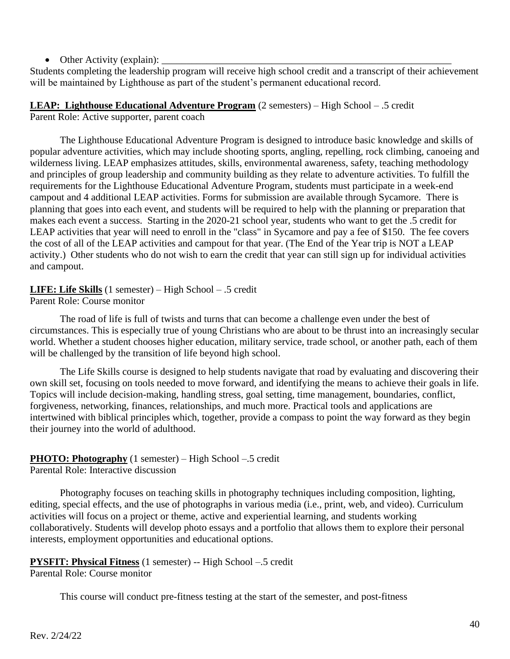• Other Activity (explain):

Students completing the leadership program will receive high school credit and a transcript of their achievement will be maintained by Lighthouse as part of the student's permanent educational record.

**LEAP: Lighthouse Educational Adventure Program** (2 semesters) – High School – .5 credit Parent Role: Active supporter, parent coach

The Lighthouse Educational Adventure Program is designed to introduce basic knowledge and skills of popular adventure activities, which may include shooting sports, angling, repelling, rock climbing, canoeing and wilderness living. LEAP emphasizes attitudes, skills, environmental awareness, safety, teaching methodology and principles of group leadership and community building as they relate to adventure activities. To fulfill the requirements for the Lighthouse Educational Adventure Program, students must participate in a week-end campout and 4 additional LEAP activities. Forms for submission are available through Sycamore. There is planning that goes into each event, and students will be required to help with the planning or preparation that makes each event a success. Starting in the 2020-21 school year, students who want to get the .5 credit for LEAP activities that year will need to enroll in the "class" in Sycamore and pay a fee of \$150. The fee covers the cost of all of the LEAP activities and campout for that year. (The End of the Year trip is NOT a LEAP activity.) Other students who do not wish to earn the credit that year can still sign up for individual activities and campout.

**LIFE: Life Skills** (1 semester) – High School – .5 credit Parent Role: Course monitor

The road of life is full of twists and turns that can become a challenge even under the best of circumstances. This is especially true of young Christians who are about to be thrust into an increasingly secular world. Whether a student chooses higher education, military service, trade school, or another path, each of them will be challenged by the transition of life beyond high school.

The Life Skills course is designed to help students navigate that road by evaluating and discovering their own skill set, focusing on tools needed to move forward, and identifying the means to achieve their goals in life. Topics will include decision-making, handling stress, goal setting, time management, boundaries, conflict, forgiveness, networking, finances, relationships, and much more. Practical tools and applications are intertwined with biblical principles which, together, provide a compass to point the way forward as they begin their journey into the world of adulthood.

## **PHOTO: Photography** (1 semester) – High School –.5 credit

Parental Role: Interactive discussion

Photography focuses on teaching skills in photography techniques including composition, lighting, editing, special effects, and the use of photographs in various media (i.e., print, web, and video). Curriculum activities will focus on a project or theme, active and experiential learning, and students working collaboratively. Students will develop photo essays and a portfolio that allows them to explore their personal interests, employment opportunities and educational options.

### **PYSFIT: Physical Fitness** (1 semester) -- High School –.5 credit

Parental Role: Course monitor

This course will conduct pre-fitness testing at the start of the semester, and post-fitness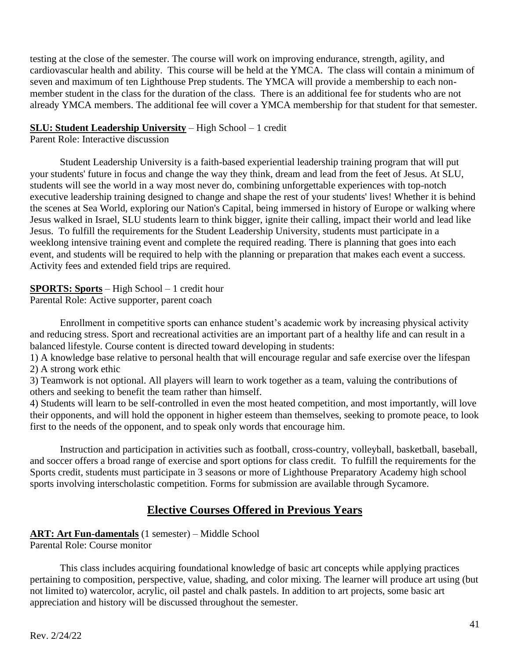testing at the close of the semester. The course will work on improving endurance, strength, agility, and cardiovascular health and ability. This course will be held at the YMCA. The class will contain a minimum of seven and maximum of ten Lighthouse Prep students. The YMCA will provide a membership to each nonmember student in the class for the duration of the class. There is an additional fee for students who are not already YMCA members. The additional fee will cover a YMCA membership for that student for that semester.

#### **SLU: Student Leadership University** – High School – 1 credit

Parent Role: Interactive discussion

Student Leadership University is a faith-based experiential leadership training program that will put your students' future in focus and change the way they think, dream and lead from the feet of Jesus. At SLU, students will see the world in a way most never do, combining unforgettable experiences with top-notch executive leadership training designed to change and shape the rest of your students' lives! Whether it is behind the scenes at Sea World, exploring our Nation's Capital, being immersed in history of Europe or walking where Jesus walked in Israel, SLU students learn to think bigger, ignite their calling, impact their world and lead like Jesus. To fulfill the requirements for the Student Leadership University, students must participate in a weeklong intensive training event and complete the required reading. There is planning that goes into each event, and students will be required to help with the planning or preparation that makes each event a success. Activity fees and extended field trips are required.

### **SPORTS: Sports** – High School – 1 credit hour

Parental Role: Active supporter, parent coach

Enrollment in competitive sports can enhance student's academic work by increasing physical activity and reducing stress. Sport and recreational activities are an important part of a healthy life and can result in a balanced lifestyle. Course content is directed toward developing in students:

1) A knowledge base relative to personal health that will encourage regular and safe exercise over the lifespan 2) A strong work ethic

3) Teamwork is not optional. All players will learn to work together as a team, valuing the contributions of others and seeking to benefit the team rather than himself.

4) Students will learn to be self-controlled in even the most heated competition, and most importantly, will love their opponents, and will hold the opponent in higher esteem than themselves, seeking to promote peace, to look first to the needs of the opponent, and to speak only words that encourage him.

Instruction and participation in activities such as football, cross-country, volleyball, basketball, baseball, and soccer offers a broad range of exercise and sport options for class credit. To fulfill the requirements for the Sports credit, students must participate in 3 seasons or more of Lighthouse Preparatory Academy high school sports involving interscholastic competition. Forms for submission are available through Sycamore.

### **Elective Courses Offered in Previous Years**

#### **ART: Art Fun-damentals** (1 semester) – Middle School

Parental Role: Course monitor

This class includes acquiring foundational knowledge of basic art concepts while applying practices pertaining to composition, perspective, value, shading, and color mixing. The learner will produce art using (but not limited to) watercolor, acrylic, oil pastel and chalk pastels. In addition to art projects, some basic art appreciation and history will be discussed throughout the semester.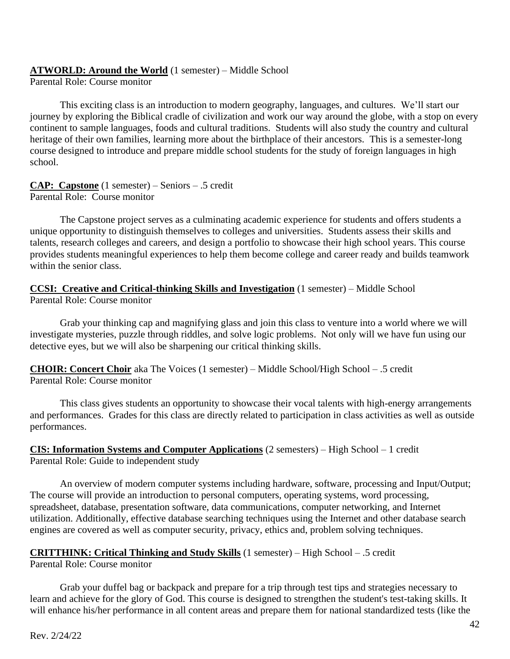#### **ATWORLD: Around the World** (1 semester) – Middle School

Parental Role: Course monitor

This exciting class is an introduction to modern geography, languages, and cultures. We'll start our journey by exploring the Biblical cradle of civilization and work our way around the globe, with a stop on every continent to sample languages, foods and cultural traditions. Students will also study the country and cultural heritage of their own families, learning more about the birthplace of their ancestors. This is a semester-long course designed to introduce and prepare middle school students for the study of foreign languages in high school.

**CAP: Capstone** (1 semester) – Seniors – .5 credit Parental Role: Course monitor

The Capstone project serves as a culminating academic experience for students and offers students a unique opportunity to distinguish themselves to colleges and universities. Students assess their skills and talents, research colleges and careers, and design a portfolio to showcase their high school years. This course provides students meaningful experiences to help them become college and career ready and builds teamwork within the senior class.

**CCSI: Creative and Critical-thinking Skills and Investigation** (1 semester) – Middle School Parental Role: Course monitor

Grab your thinking cap and magnifying glass and join this class to venture into a world where we will investigate mysteries, puzzle through riddles, and solve logic problems. Not only will we have fun using our detective eyes, but we will also be sharpening our critical thinking skills.

**CHOIR: Concert Choir** aka The Voices (1 semester) – Middle School/High School – .5 credit Parental Role: Course monitor

This class gives students an opportunity to showcase their vocal talents with high-energy arrangements and performances. Grades for this class are directly related to participation in class activities as well as outside performances.

**CIS: Information Systems and Computer Applications** (2 semesters) – High School – 1 credit Parental Role: Guide to independent study

An overview of modern computer systems including hardware, software, processing and Input/Output; The course will provide an introduction to personal computers, operating systems, word processing, spreadsheet, database, presentation software, data communications, computer networking, and Internet utilization. Additionally, effective database searching techniques using the Internet and other database search engines are covered as well as computer security, privacy, ethics and, problem solving techniques.

#### **CRITTHINK: Critical Thinking and Study Skills** (1 semester) – High School – .5 credit Parental Role: Course monitor

Grab your duffel bag or backpack and prepare for a trip through test tips and strategies necessary to learn and achieve for the glory of God. This course is designed to strengthen the student's test-taking skills. It will enhance his/her performance in all content areas and prepare them for national standardized tests (like the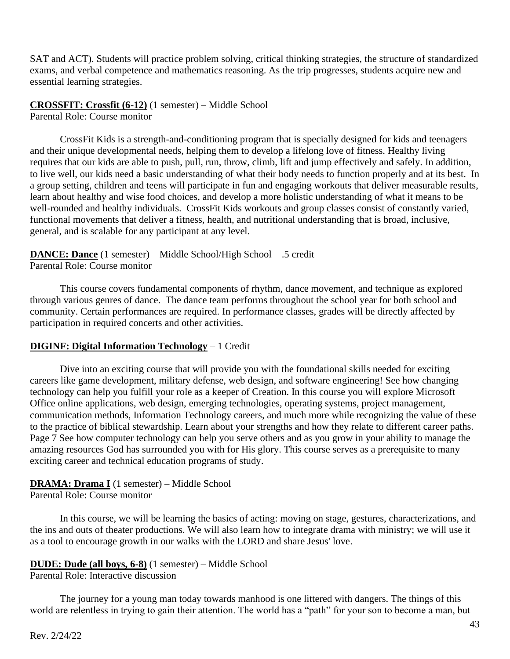SAT and ACT). Students will practice problem solving, critical thinking strategies, the structure of standardized exams, and verbal competence and mathematics reasoning. As the trip progresses, students acquire new and essential learning strategies.

#### **CROSSFIT: Crossfit (6-12)** (1 semester) – Middle School

Parental Role: Course monitor

CrossFit Kids is a strength-and-conditioning program that is specially designed for kids and teenagers and their unique developmental needs, helping them to develop a lifelong love of fitness. Healthy living requires that our kids are able to push, pull, run, throw, climb, lift and jump effectively and safely. In addition, to live well, our kids need a basic understanding of what their body needs to function properly and at its best. In a group setting, children and teens will participate in fun and engaging workouts that deliver measurable results, learn about healthy and wise food choices, and develop a more holistic understanding of what it means to be well-rounded and healthy individuals. CrossFit Kids workouts and group classes consist of constantly varied, functional movements that deliver a fitness, health, and nutritional understanding that is broad, inclusive, general, and is scalable for any participant at any level.

#### **DANCE: Dance** (1 semester) – Middle School/High School – .5 credit Parental Role: Course monitor

This course covers fundamental components of rhythm, dance movement, and technique as explored through various genres of dance. The dance team performs throughout the school year for both school and community. Certain performances are required. In performance classes, grades will be directly affected by participation in required concerts and other activities.

#### **DIGINF: Digital Information Technology** – 1 Credit

Dive into an exciting course that will provide you with the foundational skills needed for exciting careers like game development, military defense, web design, and software engineering! See how changing technology can help you fulfill your role as a keeper of Creation. In this course you will explore Microsoft Office online applications, web design, emerging technologies, operating systems, project management, communication methods, Information Technology careers, and much more while recognizing the value of these to the practice of biblical stewardship. Learn about your strengths and how they relate to different career paths. Page 7 See how computer technology can help you serve others and as you grow in your ability to manage the amazing resources God has surrounded you with for His glory. This course serves as a prerequisite to many exciting career and technical education programs of study.

#### **DRAMA: Drama I** (1 semester) – Middle School Parental Role: Course monitor

In this course, we will be learning the basics of acting: moving on stage, gestures, characterizations, and the ins and outs of theater productions. We will also learn how to integrate drama with ministry; we will use it as a tool to encourage growth in our walks with the LORD and share Jesus' love.

#### **DUDE: Dude (all boys, 6-8)** (1 semester) – Middle School

Parental Role: Interactive discussion

The journey for a young man today towards manhood is one littered with dangers. The things of this world are relentless in trying to gain their attention. The world has a "path" for your son to become a man, but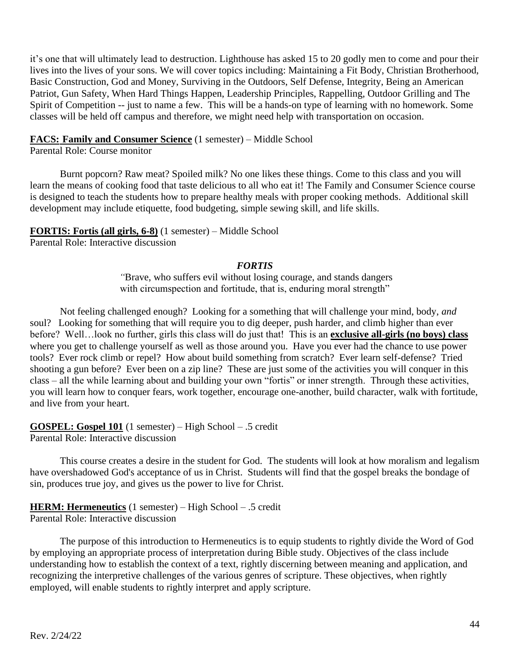it's one that will ultimately lead to destruction. Lighthouse has asked 15 to 20 godly men to come and pour their lives into the lives of your sons. We will cover topics including: Maintaining a Fit Body, Christian Brotherhood, Basic Construction, God and Money, Surviving in the Outdoors, Self Defense, Integrity, Being an American Patriot, Gun Safety, When Hard Things Happen, Leadership Principles, Rappelling, Outdoor Grilling and The Spirit of Competition -- just to name a few. This will be a hands-on type of learning with no homework. Some classes will be held off campus and therefore, we might need help with transportation on occasion.

#### **FACS: Family and Consumer Science** (1 semester) – Middle School

Parental Role: Course monitor

Burnt popcorn? Raw meat? Spoiled milk? No one likes these things. Come to this class and you will learn the means of cooking food that taste delicious to all who eat it! The Family and Consumer Science course is designed to teach the students how to prepare healthy meals with proper cooking methods. Additional skill development may include etiquette, food budgeting, simple sewing skill, and life skills.

#### **FORTIS: Fortis (all girls, 6-8)** (1 semester) – Middle School Parental Role: Interactive discussion

#### *FORTIS*

*"*Brave, who suffers evil without losing courage, and stands dangers with circumspection and fortitude, that is, enduring moral strength"

Not feeling challenged enough? Looking for a something that will challenge your mind, body, *and* soul? Looking for something that will require you to dig deeper, push harder, and climb higher than ever before? Well…look no further, girls this class will do just that! This is an **exclusive all-girls (no boys) class** where you get to challenge yourself as well as those around you. Have you ever had the chance to use power tools? Ever rock climb or repel? How about build something from scratch? Ever learn self-defense? Tried shooting a gun before? Ever been on a zip line? These are just some of the activities you will conquer in this class – all the while learning about and building your own "fortis" or inner strength. Through these activities, you will learn how to conquer fears, work together, encourage one-another, build character, walk with fortitude, and live from your heart.

**GOSPEL: Gospel 101** (1 semester) – High School – .5 credit Parental Role: Interactive discussion

This course creates a desire in the student for God. The students will look at how moralism and legalism have overshadowed God's acceptance of us in Christ. Students will find that the gospel breaks the bondage of sin, produces true joy, and gives us the power to live for Christ.

#### **HERM: Hermeneutics** (1 semester) – High School – .5 credit Parental Role: Interactive discussion

The purpose of this introduction to Hermeneutics is to equip students to rightly divide the Word of God by employing an appropriate process of interpretation during Bible study. Objectives of the class include understanding how to establish the context of a text, rightly discerning between meaning and application, and recognizing the interpretive challenges of the various genres of scripture. These objectives, when rightly employed, will enable students to rightly interpret and apply scripture.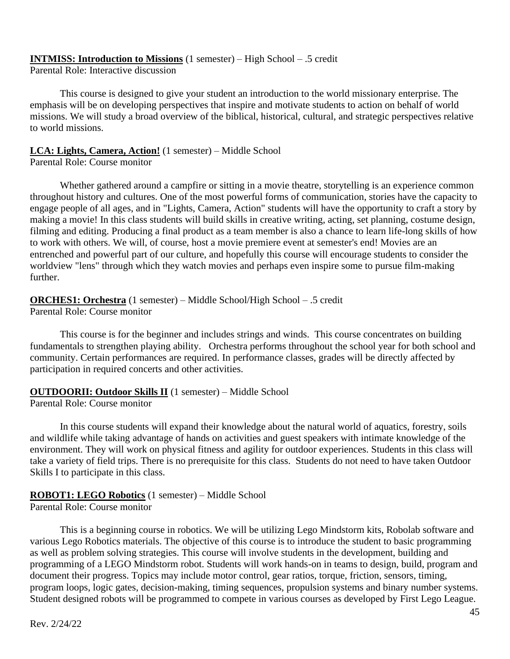#### **INTMISS: Introduction to Missions** (1 semester) – High School – .5 credit

Parental Role: Interactive discussion

This course is designed to give your student an introduction to the world missionary enterprise. The emphasis will be on developing perspectives that inspire and motivate students to action on behalf of world missions. We will study a broad overview of the biblical, historical, cultural, and strategic perspectives relative to world missions.

## **LCA: Lights, Camera, Action!** (1 semester) – Middle School

Parental Role: Course monitor

Whether gathered around a campfire or sitting in a movie theatre, storytelling is an experience common throughout history and cultures. One of the most powerful forms of communication, stories have the capacity to engage people of all ages, and in "Lights, Camera, Action" students will have the opportunity to craft a story by making a movie! In this class students will build skills in creative writing, acting, set planning, costume design, filming and editing. Producing a final product as a team member is also a chance to learn life-long skills of how to work with others. We will, of course, host a movie premiere event at semester's end! Movies are an entrenched and powerful part of our culture, and hopefully this course will encourage students to consider the worldview "lens" through which they watch movies and perhaps even inspire some to pursue film-making further.

**ORCHES1: Orchestra** (1 semester) – Middle School/High School – .5 credit Parental Role: Course monitor

This course is for the beginner and includes strings and winds. This course concentrates on building fundamentals to strengthen playing ability. Orchestra performs throughout the school year for both school and community. Certain performances are required. In performance classes, grades will be directly affected by participation in required concerts and other activities.

#### **OUTDOORII: Outdoor Skills II** (1 semester) – Middle School

Parental Role: Course monitor

In this course students will expand their knowledge about the natural world of aquatics, forestry, soils and wildlife while taking advantage of hands on activities and guest speakers with intimate knowledge of the environment. They will work on physical fitness and agility for outdoor experiences. Students in this class will take a variety of field trips. There is no prerequisite for this class. Students do not need to have taken Outdoor Skills I to participate in this class.

#### **ROBOT1: LEGO Robotics** (1 semester) – Middle School

Parental Role: Course monitor

This is a beginning course in robotics. We will be utilizing Lego Mindstorm kits, Robolab software and various Lego Robotics materials. The objective of this course is to introduce the student to basic programming as well as problem solving strategies. This course will involve students in the development, building and programming of a LEGO Mindstorm robot. Students will work hands-on in teams to design, build, program and document their progress. Topics may include motor control, gear ratios, torque, friction, sensors, timing, program loops, logic gates, decision-making, timing sequences, propulsion systems and binary number systems. Student designed robots will be programmed to compete in various courses as developed by First Lego League.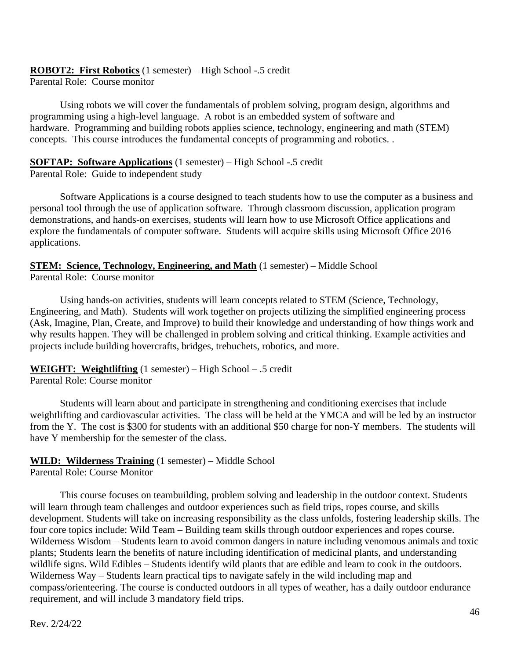# **ROBOT2: First Robotics** (1 semester) – High School -.5 credit

Parental Role: Course monitor

Using robots we will cover the fundamentals of problem solving, program design, algorithms and programming using a high-level language. A robot is an embedded system of software and hardware. Programming and building robots applies science, technology, engineering and math (STEM) concepts. This course introduces the fundamental concepts of programming and robotics. .

#### **SOFTAP: Software Applications** (1 semester) – High School -.5 credit

Parental Role: Guide to independent study

Software Applications is a course designed to teach students how to use the computer as a business and personal tool through the use of application software. Through classroom discussion, application program demonstrations, and hands-on exercises, students will learn how to use Microsoft Office applications and explore the fundamentals of computer software. Students will acquire skills using Microsoft Office 2016 applications.

**STEM: Science, Technology, Engineering, and Math** (1 semester) – Middle School Parental Role: Course monitor

Using hands-on activities, students will learn concepts related to STEM (Science, Technology, Engineering, and Math). Students will work together on projects utilizing the simplified engineering process (Ask, Imagine, Plan, Create, and Improve) to build their knowledge and understanding of how things work and why results happen. They will be challenged in problem solving and critical thinking. Example activities and projects include building hovercrafts, bridges, trebuchets, robotics, and more.

#### **WEIGHT: Weightlifting** (1 semester) – High School – .5 credit

Parental Role: Course monitor

Students will learn about and participate in strengthening and conditioning exercises that include weightlifting and cardiovascular activities. The class will be held at the YMCA and will be led by an instructor from the Y. The cost is \$300 for students with an additional \$50 charge for non-Y members. The students will have Y membership for the semester of the class.

#### **WILD: Wilderness Training** (1 semester) – Middle School

Parental Role: Course Monitor

This course focuses on teambuilding, problem solving and leadership in the outdoor context. Students will learn through team challenges and outdoor experiences such as field trips, ropes course, and skills development. Students will take on increasing responsibility as the class unfolds, fostering leadership skills. The four core topics include: Wild Team – Building team skills through outdoor experiences and ropes course. Wilderness Wisdom – Students learn to avoid common dangers in nature including venomous animals and toxic plants; Students learn the benefits of nature including identification of medicinal plants, and understanding wildlife signs. Wild Edibles – Students identify wild plants that are edible and learn to cook in the outdoors. Wilderness Way – Students learn practical tips to navigate safely in the wild including map and compass/orienteering. The course is conducted outdoors in all types of weather, has a daily outdoor endurance requirement, and will include 3 mandatory field trips.